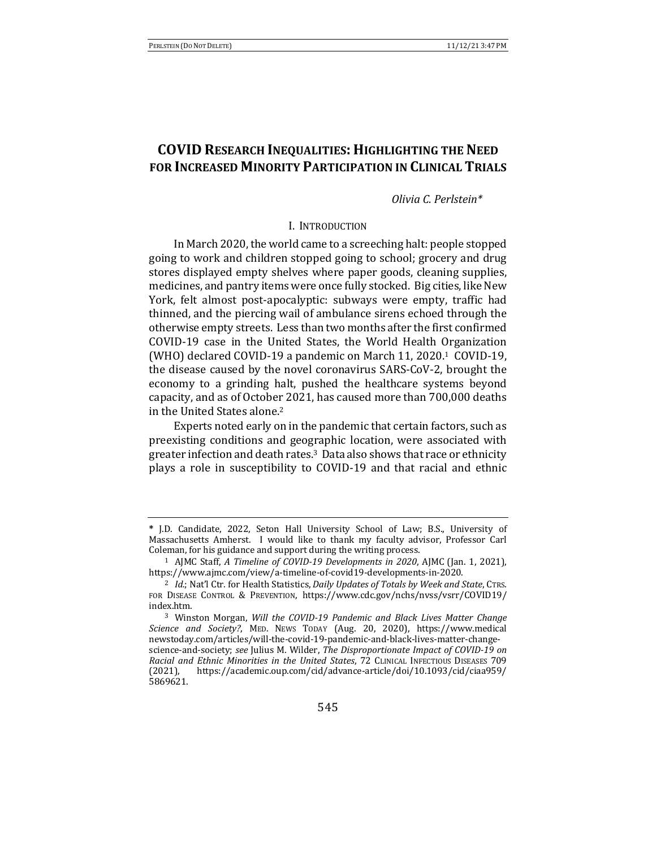# **COVID RESEARCH INEQUALITIES: HIGHLIGHTING THE NEED FOR INCREASED MINORITY PARTICIPATION IN CLINICAL TRIALS**

## *Olivia C. Perlstein\**

### I. INTRODUCTION

In March 2020, the world came to a screeching halt: people stopped going to work and children stopped going to school; grocery and drug stores displayed empty shelves where paper goods, cleaning supplies, medicines, and pantry items were once fully stocked. Big cities, like New York, felt almost post-apocalyptic: subways were empty, traffic had thinned, and the piercing wail of ambulance sirens echoed through the otherwise empty streets. Less than two months after the first confirmed COVID-19 case in the United States, the World Health Organization (WHO) declared COVID-19 a pandemic on March 11, 2020.<sup>1</sup> COVID-19, the disease caused by the novel coronavirus SARS-CoV-2, brought the economy to a grinding halt, pushed the healthcare systems beyond capacity, and as of October 2021, has caused more than 700,000 deaths in the United States alone.<sup>2</sup>

Experts noted early on in the pandemic that certain factors, such as preexisting conditions and geographic location, were associated with greater infection and death rates. $3$  Data also shows that race or ethnicity plays a role in susceptibility to COVID-19 and that racial and ethnic

**<sup>\*</sup>** J.D. Candidate, 2022, Seton Hall University School of Law; B.S., University of Massachusetts Amherst. I would like to thank my faculty advisor, Professor Carl Coleman, for his guidance and support during the writing process.

<sup>&</sup>lt;sup>1</sup> AJMC Staff, *A Timeline of COVID-19 Developments in 2020*, AJMC (Jan. 1, 2021), https://www.ajmc.com/view/a-timeline-of-covid19-developments-in-2020.

<sup>&</sup>lt;sup>2</sup> *Id.*; Nat'l Ctr. for Health Statistics, *Daily Updates of Totals by Week and State*, CTRS. FOR DISEASE CONTROL & PREVENTION, https://www.cdc.gov/nchs/nvss/vsrr/COVID19/ index.htm.

<sup>&</sup>lt;sup>3</sup> Winston Morgan, *Will the COVID-19 Pandemic and Black Lives Matter Change Science and Society?*, MED. NEWS TODAY (Aug. 20, 2020), https://www.medical newstoday.com/articles/will-the-covid-19-pandemic-and-black-lives-matter-changescience-and-society; see Julius M. Wilder, *The Disproportionate Impact of COVID-19* on *Racial and Ethnic Minorities in the United States*, 72 CLINICAL INFECTIOUS DISEASES 709 (2021), https://academic.oup.com/cid/advance-article/doi/10.1093/cid/ciaa959/ 5869621.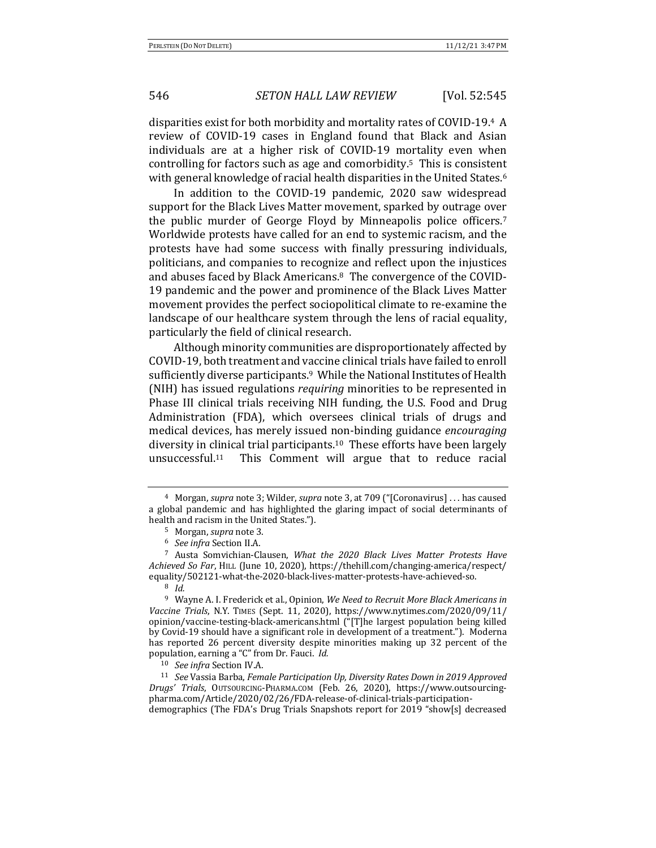disparities exist for both morbidity and mortality rates of COVID-19.4 A review of COVID-19 cases in England found that Black and Asian individuals are at a higher risk of COVID-19 mortality even when controlling for factors such as age and comorbidity.<sup>5</sup> This is consistent with general knowledge of racial health disparities in the United States.<sup>6</sup>

In addition to the COVID-19 pandemic, 2020 saw widespread support for the Black Lives Matter movement, sparked by outrage over the public murder of George Floyd by Minneapolis police officers.<sup>7</sup> Worldwide protests have called for an end to systemic racism, and the protests have had some success with finally pressuring individuals, politicians, and companies to recognize and reflect upon the injustices and abuses faced by Black Americans.<sup>8</sup> The convergence of the COVID-19 pandemic and the power and prominence of the Black Lives Matter movement provides the perfect sociopolitical climate to re-examine the landscape of our healthcare system through the lens of racial equality, particularly the field of clinical research.

Although minority communities are disproportionately affected by COVID-19, both treatment and vaccine clinical trials have failed to enroll sufficiently diverse participants.<sup>9</sup> While the National Institutes of Health (NIH) has issued regulations *requiring* minorities to be represented in Phase III clinical trials receiving NIH funding, the U.S. Food and Drug Administration (FDA), which oversees clinical trials of drugs and medical devices, has merely issued non-binding guidance *encouraging* diversity in clinical trial participants.<sup>10</sup> These efforts have been largely unsuccessful.<sup>11</sup> This Comment will argue that to reduce racial

<sup>&</sup>lt;sup>4</sup> Morgan, *supra* note 3; Wilder, *supra* note 3, at 709 ("[Coronavirus] . . . has caused a global pandemic and has highlighted the glaring impact of social determinants of health and racism in the United States.").

<sup>5</sup> Morgan, *supra* note 3.

<sup>&</sup>lt;sup>6</sup> *See infra* Section II.A.

<sup>&</sup>lt;sup>7</sup> Austa Somvichian-Clausen, *What the 2020 Black Lives Matter Protests Have Achieved So Far*, HILL (June 10, 2020), https://thehill.com/changing-america/respect/ equality/502121-what-the-2020-black-lives-matter-protests-have-achieved-so.

<sup>8</sup> *Id.* 

<sup>&</sup>lt;sup>9</sup> Wayne A. I. Frederick et al., Opinion, We Need to Recruit More Black Americans in *Vaccine Trials*, N.Y. TIMES (Sept. 11, 2020), https://www.nytimes.com/2020/09/11/ opinion/vaccine-testing-black-americans.html ("[T]he largest population being killed by Covid-19 should have a significant role in development of a treatment."). Moderna has reported 26 percent diversity despite minorities making up 32 percent of the population, earning a "C" from Dr. Fauci. *Id.* 

<sup>&</sup>lt;sup>10</sup> *See infra* Section IV.A.

<sup>&</sup>lt;sup>11</sup> *See* Vassia Barba, *Female Participation Up, Diversity Rates Down in 2019 Approved Drugs' Trials*, OUTSOURCING-PHARMA.COM (Feb. 26, 2020), https://www.outsourcingpharma.com/Article/2020/02/26/FDA-release-of-clinical-trials-participationdemographics (The FDA's Drug Trials Snapshots report for 2019 "show[s] decreased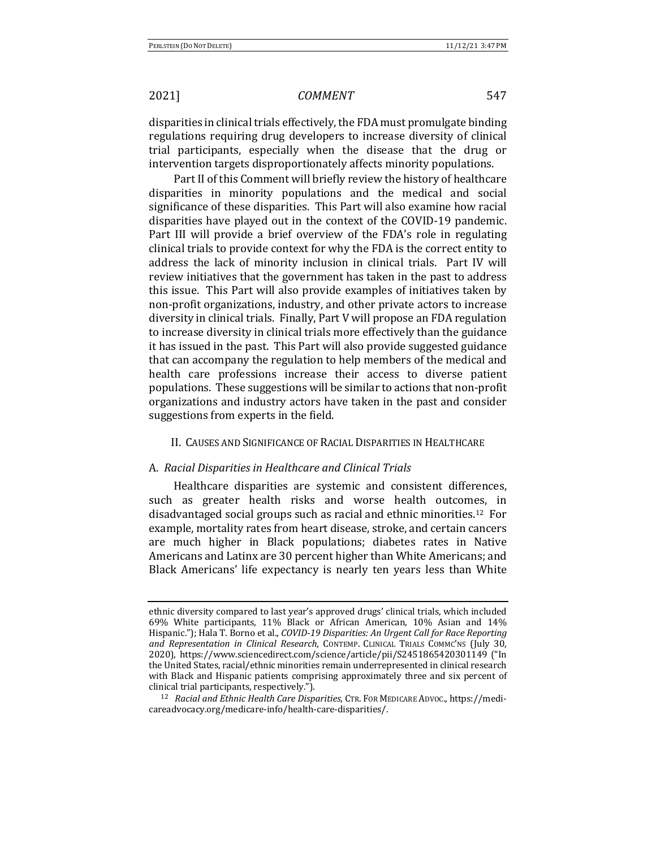disparities in clinical trials effectively, the FDA must promulgate binding regulations requiring drug developers to increase diversity of clinical trial participants, especially when the disease that the drug or intervention targets disproportionately affects minority populations.

Part II of this Comment will briefly review the history of healthcare disparities in minority populations and the medical and social significance of these disparities. This Part will also examine how racial disparities have played out in the context of the COVID-19 pandemic. Part III will provide a brief overview of the FDA's role in regulating clinical trials to provide context for why the FDA is the correct entity to address the lack of minority inclusion in clinical trials. Part IV will review initiatives that the government has taken in the past to address this issue. This Part will also provide examples of initiatives taken by non-profit organizations, industry, and other private actors to increase diversity in clinical trials. Finally, Part V will propose an FDA regulation to increase diversity in clinical trials more effectively than the guidance it has issued in the past. This Part will also provide suggested guidance that can accompany the regulation to help members of the medical and health care professions increase their access to diverse patient populations. These suggestions will be similar to actions that non-profit organizations and industry actors have taken in the past and consider suggestions from experts in the field.

## II. CAUSES AND SIGNIFICANCE OF RACIAL DISPARITIES IN HEALTHCARE

### A. *Racial Disparities in Healthcare and Clinical Trials*

Healthcare disparities are systemic and consistent differences, such as greater health risks and worse health outcomes, in disadvantaged social groups such as racial and ethnic minorities.<sup>12</sup> For example, mortality rates from heart disease, stroke, and certain cancers are much higher in Black populations; diabetes rates in Native Americans and Latinx are 30 percent higher than White Americans; and Black Americans' life expectancy is nearly ten years less than White

ethnic diversity compared to last year's approved drugs' clinical trials, which included 69% White participants, 11% Black or African American, 10% Asian and 14% Hispanic."); Hala T. Borno et al., *COVID-19 Disparities: An Urgent Call for Race Reporting* and Representation in Clinical Research, CONTEMP. CLINICAL TRIALS COMMC'NS (July 30, 2020), https://www.sciencedirect.com/science/article/pii/S2451865420301149 ("In the United States, racial/ethnic minorities remain underrepresented in clinical research with Black and Hispanic patients comprising approximately three and six percent of clinical trial participants, respectively.").

<sup>&</sup>lt;sup>12</sup> *Racial and Ethnic Health Care Disparities*, CTR. FOR MEDICARE ADVOC., https://medicareadvocacy.org/medicare-info/health-care-disparities/.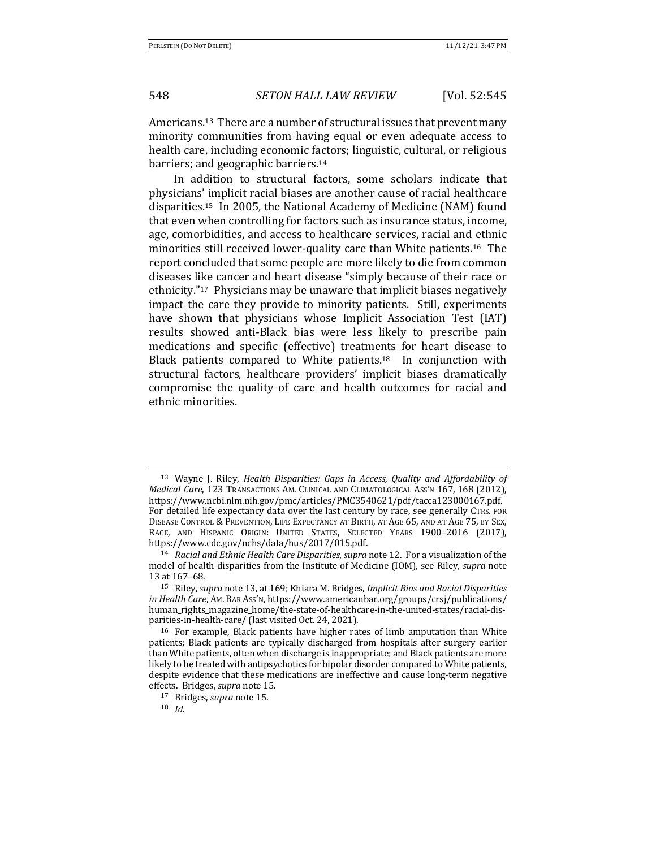Americans.<sup>13</sup> There are a number of structural issues that prevent many minority communities from having equal or even adequate access to health care, including economic factors; linguistic, cultural, or religious barriers; and geographic barriers.<sup>14</sup>

In addition to structural factors, some scholars indicate that physicians' implicit racial biases are another cause of racial healthcare disparities.<sup>15</sup> In 2005, the National Academy of Medicine (NAM) found that even when controlling for factors such as insurance status, income, age, comorbidities, and access to healthcare services, racial and ethnic minorities still received lower-quality care than White patients.<sup>16</sup> The report concluded that some people are more likely to die from common diseases like cancer and heart disease "simply because of their race or ethnicity."<sup>17</sup> Physicians may be unaware that implicit biases negatively impact the care they provide to minority patients. Still, experiments have shown that physicians whose Implicit Association Test (IAT) results showed anti-Black bias were less likely to prescribe pain medications and specific (effective) treatments for heart disease to Black patients compared to White patients.<sup>18</sup> In conjunction with structural factors, healthcare providers' implicit biases dramatically compromise the quality of care and health outcomes for racial and ethnic minorities.

<sup>18</sup> *Id*. 

<sup>&</sup>lt;sup>13</sup> Wayne J. Riley, *Health Disparities: Gaps in Access, Ouality and Affordability of Medical Care*, 123 TRANSACTIONS AM. CLINICAL AND CLIMATOLOGICAL ASS'N 167, 168 (2012), https://www.ncbi.nlm.nih.gov/pmc/articles/PMC3540621/pdf/tacca123000167.pdf. For detailed life expectancy data over the last century by race, see generally CTRS. FOR DISEASE CONTROL & PREVENTION, LIFE EXPECTANCY AT BIRTH, AT AGE 65, AND AT AGE 75, BY SEX, RACE, AND HISPANIC ORIGIN: UNITED STATES, SELECTED YEARS 1900-2016 (2017), https://www.cdc.gov/nchs/data/hus/2017/015.pdf.

<sup>&</sup>lt;sup>14</sup> *Racial and Ethnic Health Care Disparities, supra* note 12. For a visualization of the model of health disparities from the Institute of Medicine (IOM), see Riley, *supra* note 13 at 167–68.

<sup>&</sup>lt;sup>15</sup> Riley, *supra* note 13, at 169; Khiara M. Bridges, *Implicit Bias and Racial Disparities in Health Care*, Am. BAR Ass'n, https://www.americanbar.org/groups/crsj/publications/ human rights magazine home/the-state-of-healthcare-in-the-united-states/racial-disparities-in-health-care/ (last visited Oct. 24, 2021).

 $16$  For example, Black patients have higher rates of limb amputation than White patients; Black patients are typically discharged from hospitals after surgery earlier than White patients, often when discharge is inappropriate; and Black patients are more likely to be treated with antipsychotics for bipolar disorder compared to White patients, despite evidence that these medications are ineffective and cause long-term negative effects. Bridges, *supra* note 15.

<sup>17</sup> Bridges, *supra* note 15.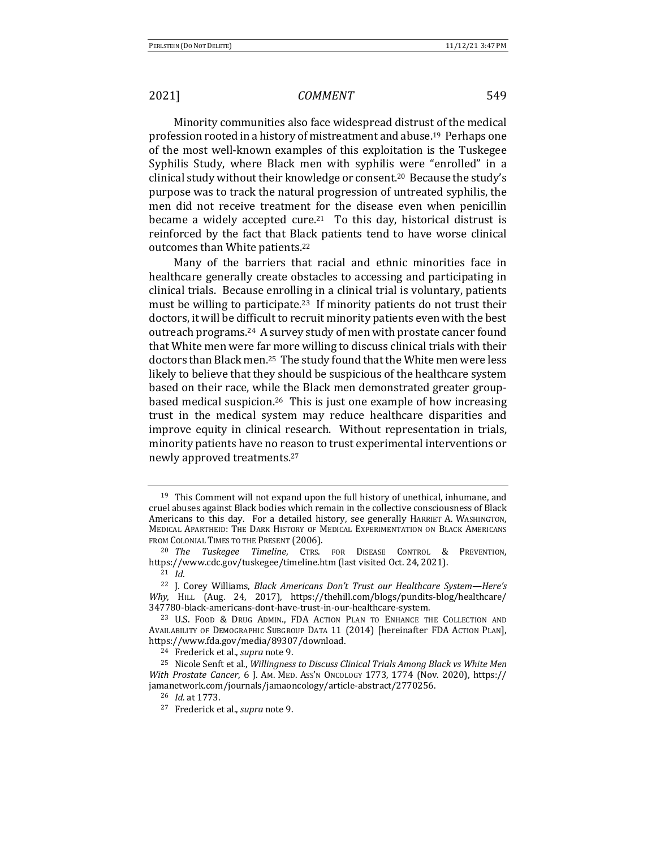Minority communities also face widespread distrust of the medical profession rooted in a history of mistreatment and abuse.<sup>19</sup> Perhaps one of the most well-known examples of this exploitation is the Tuskegee Syphilis Study, where Black men with syphilis were "enrolled" in a clinical study without their knowledge or consent.<sup>20</sup> Because the study's purpose was to track the natural progression of untreated syphilis, the men did not receive treatment for the disease even when penicillin became a widely accepted cure.<sup>21</sup> To this day, historical distrust is reinforced by the fact that Black patients tend to have worse clinical outcomes than White patients.<sup>22</sup>

Many of the barriers that racial and ethnic minorities face in healthcare generally create obstacles to accessing and participating in clinical trials. Because enrolling in a clinical trial is voluntary, patients must be willing to participate.<sup>23</sup> If minority patients do not trust their doctors, it will be difficult to recruit minority patients even with the best outreach programs.<sup>24</sup> A survey study of men with prostate cancer found that White men were far more willing to discuss clinical trials with their doctors than Black men.<sup>25</sup> The study found that the White men were less likely to believe that they should be suspicious of the healthcare system based on their race, while the Black men demonstrated greater groupbased medical suspicion.<sup>26</sup> This is just one example of how increasing trust in the medical system may reduce healthcare disparities and improve equity in clinical research. Without representation in trials, minority patients have no reason to trust experimental interventions or newly approved treatments.<sup>27</sup>

<sup>&</sup>lt;sup>19</sup> This Comment will not expand upon the full history of unethical, inhumane, and cruel abuses against Black bodies which remain in the collective consciousness of Black Americans to this day. For a detailed history, see generally HARRIET A. WASHINGTON, MEDICAL APARTHEID: THE DARK HISTORY OF MEDICAL EXPERIMENTATION ON BLACK AMERICANS FROM COLONIAL TIMES TO THE PRESENT (2006).

<sup>&</sup>lt;sup>20</sup> *The Tuskegee Timeline*, CTRS. FOR DISEASE CONTROL & PREVENTION, https://www.cdc.gov/tuskegee/timeline.htm (last visited Oct. 24, 2021). <sup>21</sup> *Id*.

<sup>&</sup>lt;sup>22</sup> J. Corey Williams, *Black Americans Don't Trust our Healthcare System—Here's* Why, HILL (Aug. 24, 2017), https://thehill.com/blogs/pundits-blog/healthcare/ 347780-black-americans-dont-have-trust-in-our-healthcare-system. 

<sup>&</sup>lt;sup>23</sup> U.S. FOOD & DRUG ADMIN., FDA ACTION PLAN TO ENHANCE THE COLLECTION AND AVAILABILITY OF DEMOGRAPHIC SUBGROUP DATA 11 (2014) [hereinafter FDA ACTION PLAN], https://www.fda.gov/media/89307/download.

<sup>&</sup>lt;sup>24</sup> Frederick et al., *supra* note 9.

<sup>&</sup>lt;sup>25</sup> Nicole Senft et al., *Willingness to Discuss Clinical Trials Among Black vs White Men With Prostate Cancer*, 6 J. Am. MED. Ass'n Oncology 1773, 1774 (Nov. 2020), https:// jamanetwork.com/journals/jamaoncology/article-abstract/2770256.

<sup>&</sup>lt;sup>26</sup> *Id.* at 1773.

<sup>27</sup> Frederick et al., *supra* note 9.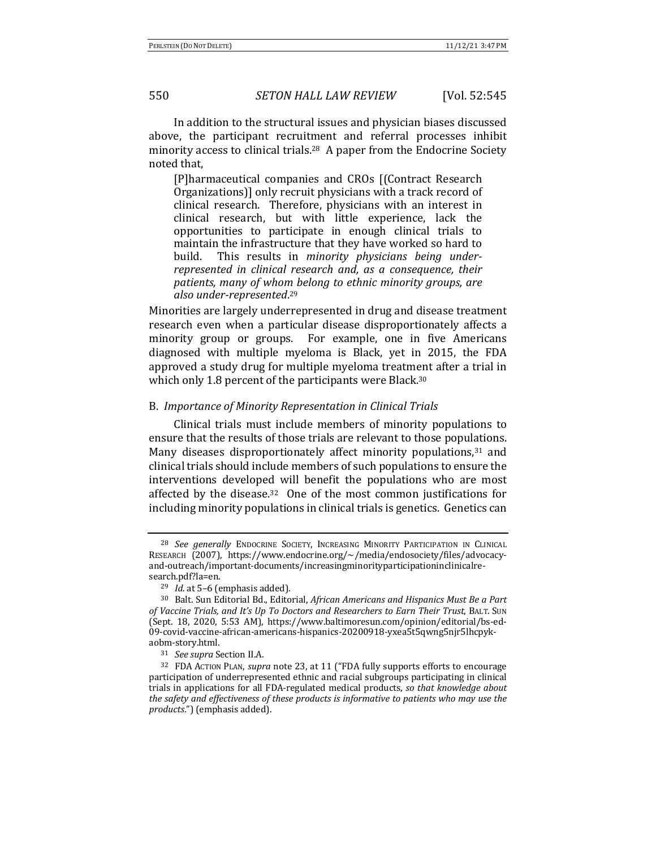In addition to the structural issues and physician biases discussed above, the participant recruitment and referral processes inhibit minority access to clinical trials.<sup>28</sup> A paper from the Endocrine Society noted that.

[P]harmaceutical companies and CROs [(Contract Research Organizations]] only recruit physicians with a track record of clinical research. Therefore, physicians with an interest in clinical research, but with little experience, lack the opportunities to participate in enough clinical trials to maintain the infrastructure that they have worked so hard to build. This results in *minority physicians being underrepresented in clinical research and, as a consequence, their* patients, many of whom belong to ethnic minority groups, are also under-represented.<sup>29</sup>

Minorities are largely underrepresented in drug and disease treatment research even when a particular disease disproportionately affects a minority group or groups. For example, one in five Americans diagnosed with multiple myeloma is Black, yet in 2015, the FDA approved a study drug for multiple myeloma treatment after a trial in which only 1.8 percent of the participants were Black.<sup>30</sup>

### B. *Importance of Minority Representation in Clinical Trials*

Clinical trials must include members of minority populations to ensure that the results of those trials are relevant to those populations. Many diseases disproportionately affect minority populations, $31$  and clinical trials should include members of such populations to ensure the interventions developed will benefit the populations who are most affected by the disease.<sup>32</sup> One of the most common justifications for including minority populations in clinical trials is genetics. Genetics can

<sup>&</sup>lt;sup>28</sup> See generally ENDOCRINE SOCIETY, INCREASING MINORITY PARTICIPATION IN CLINICAL RESEARCH (2007), https://www.endocrine.org/~/media/endosociety/files/advocacyand-outreach/important-documents/increasingminorityparticipationinclinicalresearch.pdf?la=en.

<sup>&</sup>lt;sup>29</sup> *Id.* at 5-6 (emphasis added).

<sup>&</sup>lt;sup>30</sup> Balt. Sun Editorial Bd., Editorial, *African Americans and Hispanics Must Be a Part* of Vaccine Trials, and It's Up To Doctors and Researchers to Earn Their Trust, BALT. Sun (Sept. 18, 2020, 5:53 AM), https://www.baltimoresun.com/opinion/editorial/bs-ed-09-covid-vaccine-african-americans-hispanics-20200918-yxea5t5qwng5njr5lhcpykaobm-story.html. 

<sup>&</sup>lt;sup>31</sup> *See supra* Section II.A.

<sup>&</sup>lt;sup>32</sup> FDA ACTION PLAN, *supra* note 23, at 11 ("FDA fully supports efforts to encourage participation of underrepresented ethnic and racial subgroups participating in clinical trials in applications for all FDA-regulated medical products, so that knowledge about *the safety and effectiveness of these products is informative to patients who may use the products.*") (emphasis added).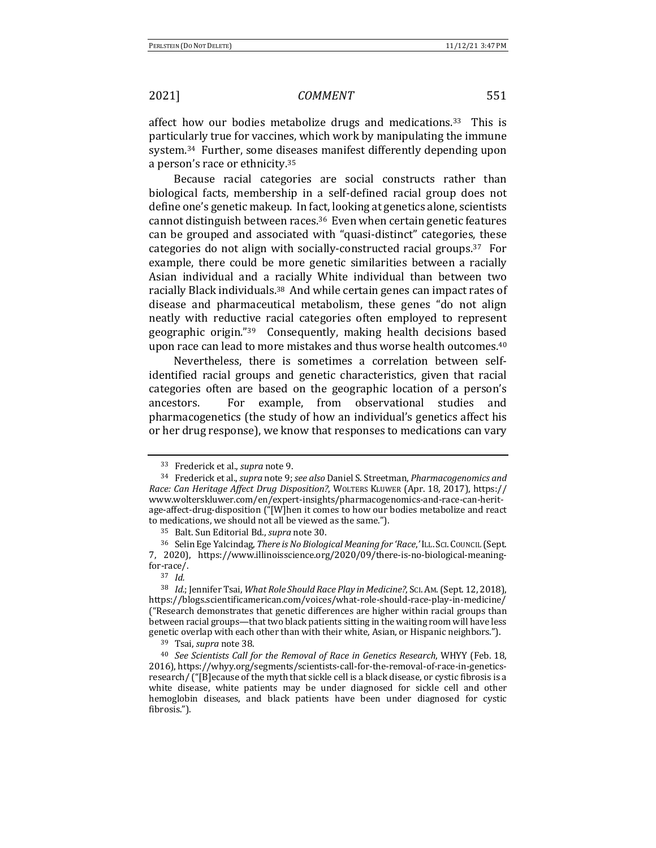affect how our bodies metabolize drugs and medications.<sup>33</sup> This is particularly true for vaccines, which work by manipulating the immune system.<sup>34</sup> Further, some diseases manifest differently depending upon a person's race or ethnicity.<sup>35</sup>

Because racial categories are social constructs rather than biological facts, membership in a self-defined racial group does not define one's genetic makeup. In fact, looking at genetics alone, scientists cannot distinguish between races.<sup>36</sup> Even when certain genetic features can be grouped and associated with "quasi-distinct" categories, these categories do not align with socially-constructed racial groups.<sup>37</sup> For example, there could be more genetic similarities between a racially Asian individual and a racially White individual than between two racially Black individuals.<sup>38</sup> And while certain genes can impact rates of disease and pharmaceutical metabolism, these genes "do not align neatly with reductive racial categories often employed to represent geographic origin."<sup>39</sup> Consequently, making health decisions based upon race can lead to more mistakes and thus worse health outcomes.<sup>40</sup>

Nevertheless, there is sometimes a correlation between selfidentified racial groups and genetic characteristics, given that racial categories often are based on the geographic location of a person's ancestors. For example, from observational studies and pharmacogenetics (the study of how an individual's genetics affect his or her drug response), we know that responses to medications can vary

<sup>&</sup>lt;sup>33</sup> Frederick et al., *supra* note 9.

<sup>34</sup> Frederick et al., *supra* note 9; *see also* Daniel S. Streetman, *Pharmacogenomics and Race: Can Heritage Affect Drug Disposition?*, WOLTERS KLUWER (Apr. 18, 2017), https:// www.wolterskluwer.com/en/expert-insights/pharmacogenomics-and-race-can-heritage-affect-drug-disposition ("[W]hen it comes to how our bodies metabolize and react to medications, we should not all be viewed as the same.").

<sup>&</sup>lt;sup>35</sup> Balt. Sun Editorial Bd., *supra* note 30.

<sup>36</sup> Selin Ege Yalcindag, There is No Biological Meaning for 'Race,' ILL. SCI. COUNCIL (Sept. 7, 2020), https://www.illinoisscience.org/2020/09/there-is-no-biological-meaningfor-race/.

<sup>37</sup> *Id.*

<sup>&</sup>lt;sup>38</sup> *Id.*; Jennifer Tsai, *What Role Should Race Play in Medicine?*, Sci. Am. (Sept. 12, 2018), https://blogs.scientificamerican.com/voices/what-role-should-race-play-in-medicine/ ("Research demonstrates that genetic differences are higher within racial groups than between racial groups—that two black patients sitting in the waiting room will have less genetic overlap with each other than with their white, Asian, or Hispanic neighbors.").

<sup>&</sup>lt;sup>39</sup> Tsai, *supra* note 38.

<sup>&</sup>lt;sup>40</sup> See Scientists Call for the Removal of Race in Genetics Research, WHYY (Feb. 18, 2016), https://whyy.org/segments/scientists-call-for-the-removal-of-race-in-geneticsresearch/ ("[B]ecause of the myth that sickle cell is a black disease, or cystic fibrosis is a white disease, white patients may be under diagnosed for sickle cell and other hemoglobin diseases, and black patients have been under diagnosed for cystic fibrosis.").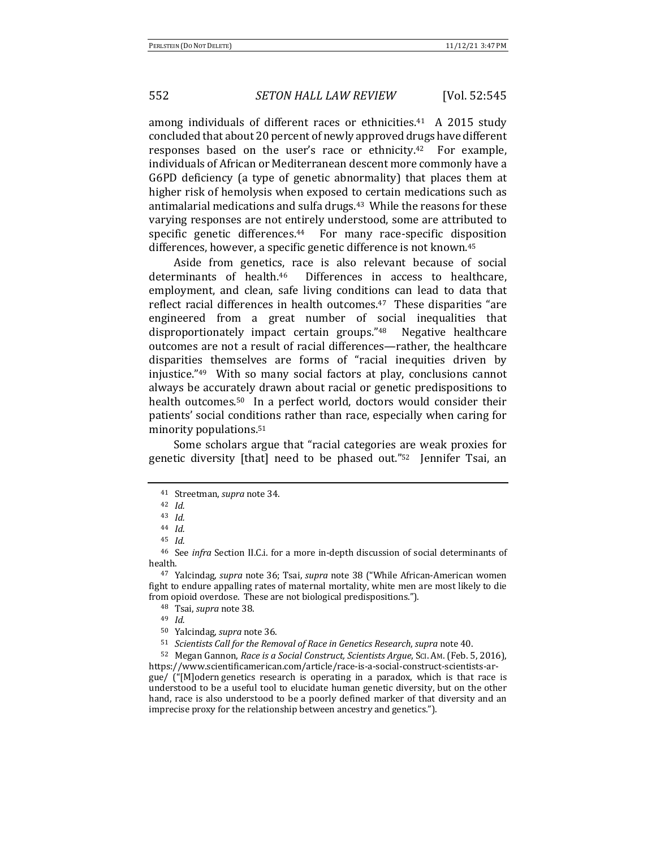among individuals of different races or ethnicities.<sup>41</sup> A 2015 study concluded that about 20 percent of newly approved drugs have different responses based on the user's race or ethnicity.<sup>42</sup> For example, individuals of African or Mediterranean descent more commonly have a G6PD deficiency (a type of genetic abnormality) that places them at higher risk of hemolysis when exposed to certain medications such as antimalarial medications and sulfa drugs.<sup>43</sup> While the reasons for these varying responses are not entirely understood, some are attributed to specific genetic differences. $44$  For many race-specific disposition differences, however, a specific genetic difference is not known.<sup>45</sup>

Aside from genetics, race is also relevant because of social determinants of health.<sup>46</sup> Differences in access to healthcare, employment, and clean, safe living conditions can lead to data that reflect racial differences in health outcomes.<sup>47</sup> These disparities "are engineered from a great number of social inequalities that disproportionately impact certain groups."<sup>48</sup> Negative healthcare outcomes are not a result of racial differences—rather, the healthcare disparities themselves are forms of "racial inequities driven by injustice." $49$  With so many social factors at play, conclusions cannot always be accurately drawn about racial or genetic predispositions to health outcomes.<sup>50</sup> In a perfect world, doctors would consider their patients' social conditions rather than race, especially when caring for minority populations.<sup>51</sup>

Some scholars argue that "racial categories are weak proxies for genetic diversity  $[that]$  need to be phased out." $52$  Jennifer Tsai, an

<sup>47</sup> Yalcindag, *supra* note 36; Tsai, *supra* note 38 ("While African-American women fight to endure appalling rates of maternal mortality, white men are most likely to die from opioid overdose. These are not biological predispositions.").

50 Yalcindag, *supra* note 36.

51 *Scientists Call for the Removal of Race in Genetics Research, supra* note 40.

52 Megan Gannon, *Race is a Social Construct, Scientists Argue*, Sci. Am. (Feb. 5, 2016), https://www.scientificamerican.com/article/race-is-a-social-construct-scientists-ar $gue/$  ("[M]odern genetics research is operating in a paradox, which is that race is understood to be a useful tool to elucidate human genetic diversity, but on the other hand, race is also understood to be a poorly defined marker of that diversity and an imprecise proxy for the relationship between ancestry and genetics.").

<sup>&</sup>lt;sup>41</sup> Streetman, *supra* note 34.

<sup>42</sup> *Id.* 

<sup>43</sup> *Id.*

<sup>44</sup> *Id.*

<sup>45</sup> *Id.*

<sup>&</sup>lt;sup>46</sup> See *infra* Section II.C.i. for a more in-depth discussion of social determinants of health. 

<sup>&</sup>lt;sup>48</sup> Tsai, *supra* note 38.

<sup>49</sup> *Id.*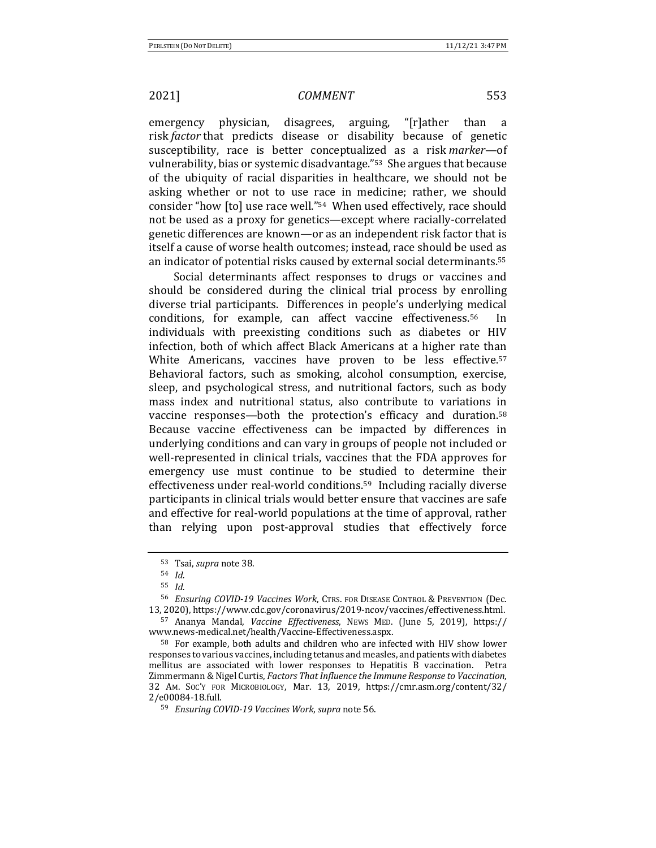emergency physician, disagrees, arguing, "[r]ather than a risk *factor* that predicts disease or disability because of genetic susceptibility, race is better conceptualized as a risk *marker*—of vulnerability, bias or systemic disadvantage."<sup>53</sup> She argues that because of the ubiquity of racial disparities in healthcare, we should not be asking whether or not to use race in medicine; rather, we should consider "how [to] use race well."<sup>54</sup> When used effectively, race should not be used as a proxy for genetics—except where racially-correlated genetic differences are known—or as an independent risk factor that is itself a cause of worse health outcomes; instead, race should be used as an indicator of potential risks caused by external social determinants.<sup>55</sup>

Social determinants affect responses to drugs or vaccines and should be considered during the clinical trial process by enrolling diverse trial participants. Differences in people's underlying medical conditions, for example, can affect vaccine effectiveness.<sup>56</sup> In individuals with preexisting conditions such as diabetes or HIV infection, both of which affect Black Americans at a higher rate than White Americans, vaccines have proven to be less effective.<sup>57</sup> Behavioral factors, such as smoking, alcohol consumption, exercise, sleep, and psychological stress, and nutritional factors, such as body mass index and nutritional status, also contribute to variations in vaccine responses—both the protection's efficacy and duration.<sup>58</sup> Because vaccine effectiveness can be impacted by differences in underlying conditions and can vary in groups of people not included or well-represented in clinical trials, vaccines that the FDA approves for emergency use must continue to be studied to determine their effectiveness under real-world conditions.<sup>59</sup> Including racially diverse participants in clinical trials would better ensure that vaccines are safe and effective for real-world populations at the time of approval, rather than relying upon post-approval studies that effectively force

<sup>53</sup> Tsai, *supra* note 38.

<sup>54</sup> *Id.*

<sup>55</sup> *Id.*

<sup>56</sup> *Ensuring COVID-19 Vaccines Work*, CTRS. FOR DISEASE CONTROL & PREVENTION (Dec. 13, 2020), https://www.cdc.gov/coronavirus/2019-ncov/vaccines/effectiveness.html.

<sup>57</sup> Ananya Mandal, *Vaccine Effectiveness*, NEWS MED. (June 5, 2019), https:// www.news-medical.net/health/Vaccine-Effectiveness.aspx.

<sup>&</sup>lt;sup>58</sup> For example, both adults and children who are infected with HIV show lower responses to various vaccines, including tetanus and measles, and patients with diabetes mellitus are associated with lower responses to Hepatitis  $\vec{B}$  vaccination. Petra Zimmermann & Nigel Curtis, *Factors That Influence the Immune Response to Vaccination*, 32 AM. SOC'Y FOR MICROBIOLOGY, Mar. 13, 2019, https://cmr.asm.org/content/32/ 2/e00084-18.full.

<sup>59</sup> *Ensuring COVID-19 Vaccines Work, supra* note 56.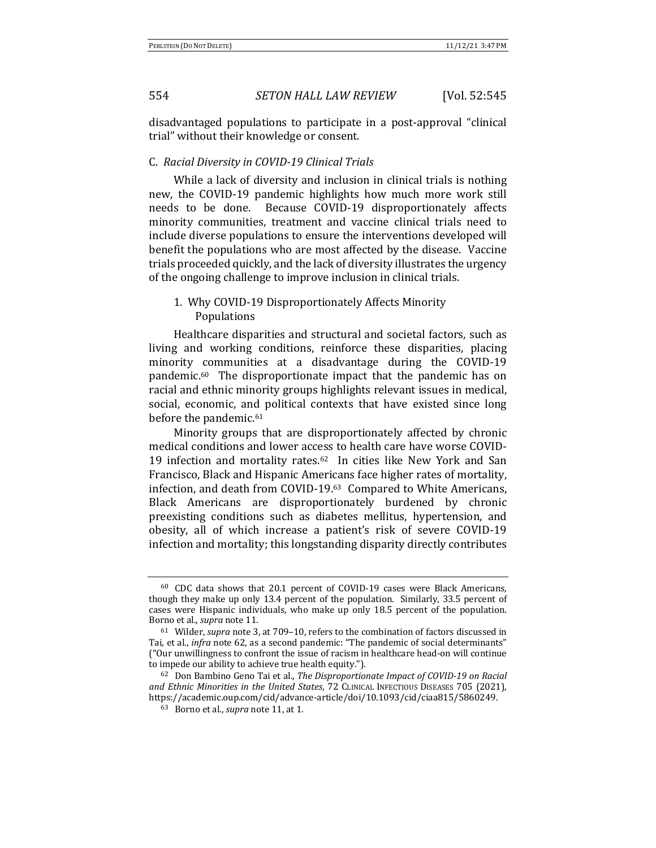disadvantaged populations to participate in a post-approval "clinical trial" without their knowledge or consent.

### C. *Racial Diversity in COVID-19 Clinical Trials*

While a lack of diversity and inclusion in clinical trials is nothing new, the COVID-19 pandemic highlights how much more work still needs to be done. Because COVID-19 disproportionately affects minority communities, treatment and vaccine clinical trials need to include diverse populations to ensure the interventions developed will benefit the populations who are most affected by the disease. Vaccine trials proceeded quickly, and the lack of diversity illustrates the urgency of the ongoing challenge to improve inclusion in clinical trials.

## 1. Why COVID-19 Disproportionately Affects Minority Populations

Healthcare disparities and structural and societal factors, such as living and working conditions, reinforce these disparities, placing minority communities at a disadvantage during the COVID-19 pandemic. $60$  The disproportionate impact that the pandemic has on racial and ethnic minority groups highlights relevant issues in medical, social, economic, and political contexts that have existed since long before the pandemic.<sup>61</sup>

Minority groups that are disproportionately affected by chronic medical conditions and lower access to health care have worse COVID-19 infection and mortality rates.<sup>62</sup> In cities like New York and San Francisco, Black and Hispanic Americans face higher rates of mortality, infection, and death from COVID-19.<sup>63</sup> Compared to White Americans, Black Americans are disproportionately burdened by chronic preexisting conditions such as diabetes mellitus, hypertension, and obesity, all of which increase a patient's risk of severe COVID-19 infection and mortality; this longstanding disparity directly contributes

 $60$  CDC data shows that 20.1 percent of COVID-19 cases were Black Americans, though they make up only 13.4 percent of the population. Similarly, 33.5 percent of cases were Hispanic individuals, who make up only 18.5 percent of the population. Borno et al., *supra* note 11.

<sup>&</sup>lt;sup>61</sup> Wilder, *supra* note 3, at 709-10, refers to the combination of factors discussed in Tai, et al., *infra* note 62, as a second pandemic: "The pandemic of social determinants" ("Our unwillingness to confront the issue of racism in healthcare head-on will continue to impede our ability to achieve true health equity.").

<sup>&</sup>lt;sup>62</sup> Don Bambino Geno Tai et al., *The Disproportionate Impact of COVID-19* on Racial and Ethnic Minorities in the United States, 72 CLINICAL INFECTIOUS DISEASES 705 (2021), https://academic.oup.com/cid/advance-article/doi/10.1093/cid/ciaa815/5860249. 

<sup>63</sup> Borno et al., *supra* note 11, at 1.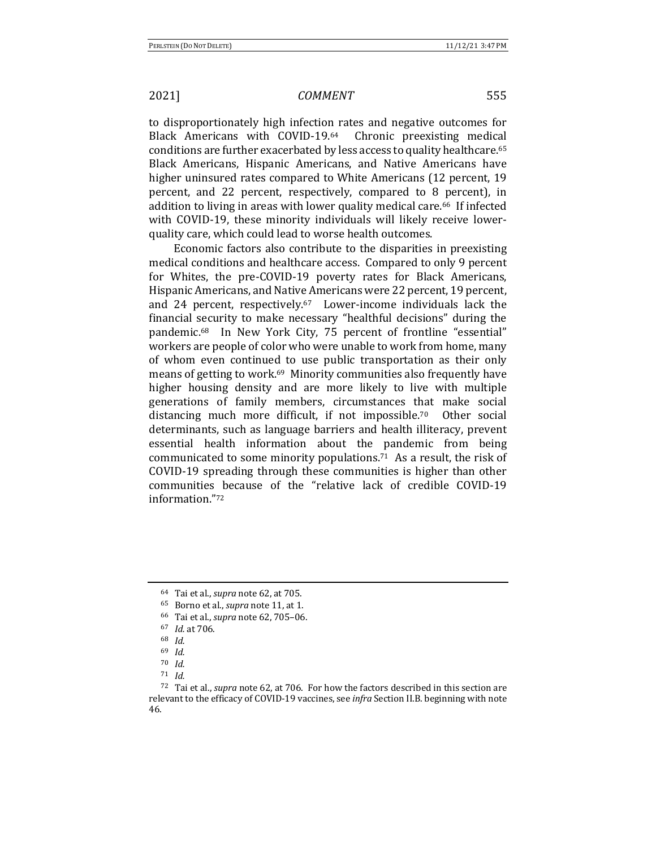to disproportionately high infection rates and negative outcomes for Black Americans with COVID-19.64 Chronic preexisting medical conditions are further exacerbated by less access to quality healthcare.<sup>65</sup> Black Americans, Hispanic Americans, and Native Americans have higher uninsured rates compared to White Americans (12 percent, 19) percent, and 22 percent, respectively, compared to 8 percent), in addition to living in areas with lower quality medical care.<sup>66</sup> If infected with COVID-19, these minority individuals will likely receive lowerquality care, which could lead to worse health outcomes.

Economic factors also contribute to the disparities in preexisting medical conditions and healthcare access. Compared to only 9 percent for Whites, the pre-COVID-19 poverty rates for Black Americans, Hispanic Americans, and Native Americans were 22 percent, 19 percent, and 24 percent, respectively. $67$  Lower-income individuals lack the financial security to make necessary "healthful decisions" during the pandemic.<sup>68</sup> In New York City, 75 percent of frontline "essential" workers are people of color who were unable to work from home, many of whom even continued to use public transportation as their only means of getting to work.<sup>69</sup> Minority communities also frequently have higher housing density and are more likely to live with multiple generations of family members, circumstances that make social distancing much more difficult, if not impossible.<sup>70</sup> Other social determinants, such as language barriers and health illiteracy, prevent essential health information about the pandemic from being communicated to some minority populations.<sup>71</sup> As a result, the risk of COVID-19 spreading through these communities is higher than other communities because of the "relative lack of credible COVID-19 information."72

- 66 Tai et al., *supra* note 62, 705-06.
- <sup>67</sup> *Id.* at 706.
- <sup>68</sup> *Id.*

<sup>64</sup> Tai et al., *supra* note 62, at 705.

<sup>&</sup>lt;sup>65</sup> Borno et al., *supra* note 11, at 1.

<sup>69</sup> *Id.*

<sup>70</sup> *Id.*

<sup>71</sup> *Id.*

<sup>&</sup>lt;sup>72</sup> Tai et al., *supra* note 62, at 706. For how the factors described in this section are relevant to the efficacy of COVID-19 vaccines, see *infra* Section II.B. beginning with note 46.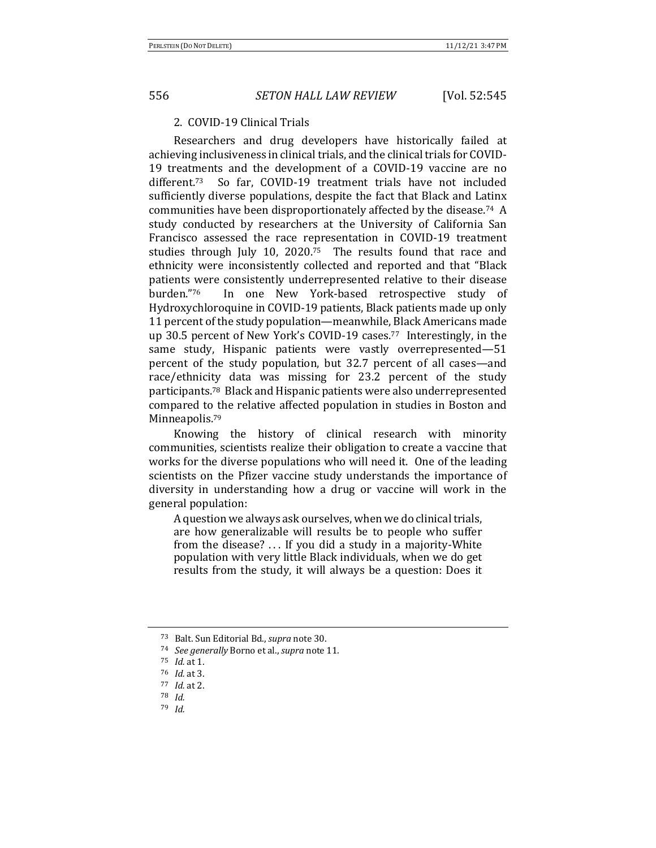## 2. COVID-19 Clinical Trials

Researchers and drug developers have historically failed at achieving inclusiveness in clinical trials, and the clinical trials for COVID-19 treatments and the development of a COVID-19 vaccine are no different.<sup>73</sup> So far, COVID-19 treatment trials have not included sufficiently diverse populations, despite the fact that Black and Latinx communities have been disproportionately affected by the disease.<sup>74</sup> A study conducted by researchers at the University of California San Francisco assessed the race representation in COVID-19 treatment studies through July 10, 2020.<sup>75</sup> The results found that race and ethnicity were inconsistently collected and reported and that "Black patients were consistently underrepresented relative to their disease burden."76 In one New York-based retrospective study of Hydroxychloroquine in COVID-19 patients, Black patients made up only 11 percent of the study population—meanwhile, Black Americans made up 30.5 percent of New York's COVID-19 cases.<sup>77</sup> Interestingly, in the same study, Hispanic patients were vastly overrepresented-51 percent of the study population, but 32.7 percent of all cases—and race/ethnicity data was missing for 23.2 percent of the study participants.<sup>78</sup> Black and Hispanic patients were also underrepresented compared to the relative affected population in studies in Boston and Minneapolis.<sup>79</sup>

Knowing the history of clinical research with minority communities, scientists realize their obligation to create a vaccine that works for the diverse populations who will need it. One of the leading scientists on the Pfizer vaccine study understands the importance of diversity in understanding how a drug or vaccine will work in the general population:

A question we always ask ourselves, when we do clinical trials, are how generalizable will results be to people who suffer from the disease?  $\dots$  If you did a study in a majority-White population with very little Black individuals, when we do get results from the study, it will always be a question: Does it

<sup>73</sup> Balt. Sun Editorial Bd., *supra* note 30.

<sup>&</sup>lt;sup>74</sup> *See generally* Borno et al., *supra* note 11.

<sup>75</sup> *Id.* at 1.

<sup>76</sup> *Id.* at 3.

<sup>77</sup> *Id.* at 2.

<sup>78</sup> *Id.*

<sup>79</sup> *Id.*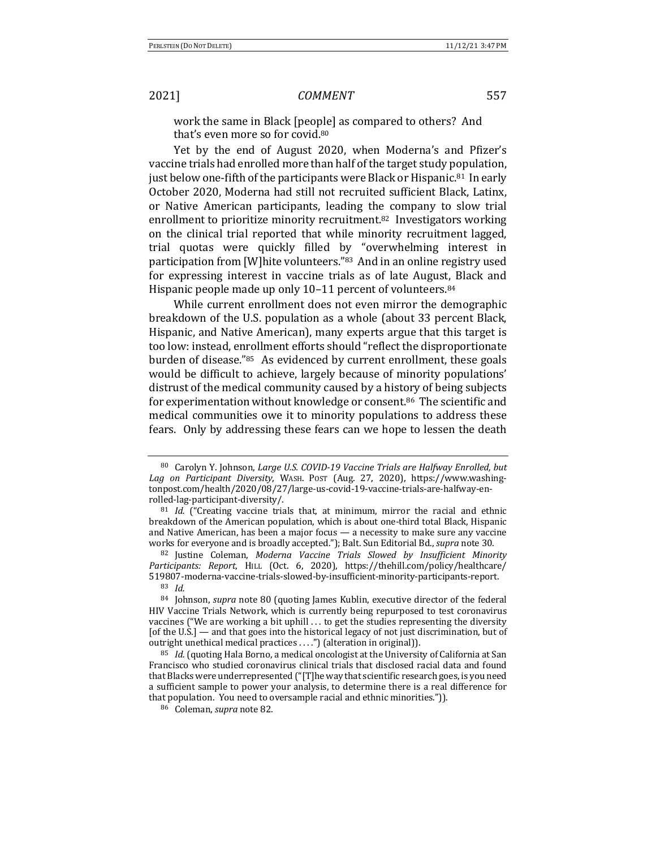work the same in Black [people] as compared to others? And that's even more so for covid.<sup>80</sup>

Yet by the end of August 2020, when Moderna's and Pfizer's vaccine trials had enrolled more than half of the target study population, just below one-fifth of the participants were Black or Hispanic.<sup>81</sup> In early October 2020, Moderna had still not recruited sufficient Black, Latinx, or Native American participants, leading the company to slow trial enrollment to prioritize minority recruitment.<sup>82</sup> Investigators working on the clinical trial reported that while minority recruitment lagged, trial quotas were quickly filled by "overwhelming interest in participation from [W]hite volunteers."83 And in an online registry used for expressing interest in vaccine trials as of late August, Black and Hispanic people made up only  $10-11$  percent of volunteers.<sup>84</sup>

While current enrollment does not even mirror the demographic breakdown of the U.S. population as a whole (about 33 percent Black, Hispanic, and Native American), many experts argue that this target is too low: instead, enrollment efforts should "reflect the disproportionate burden of disease."<sup>85</sup> As evidenced by current enrollment, these goals would be difficult to achieve, largely because of minority populations' distrust of the medical community caused by a history of being subjects for experimentation without knowledge or consent.<sup>86</sup> The scientific and medical communities owe it to minority populations to address these fears. Only by addressing these fears can we hope to lessen the death

<sup>80</sup> Carolyn Y. Johnson, *Large U.S. COVID-19 Vaccine Trials are Halfway Enrolled, but* Lag on Participant Diversity, WASH. Post (Aug. 27, 2020), https://www.washingtonpost.com/health/2020/08/27/large-us-covid-19-vaccine-trials-are-halfway-enrolled-lag-participant-diversity/.

 $81$  *Id.* ("Creating vaccine trials that, at minimum, mirror the racial and ethnic breakdown of the American population, which is about one-third total Black, Hispanic and Native American, has been a major focus  $-$  a necessity to make sure any vaccine works for everyone and is broadly accepted."); Balt. Sun Editorial Bd., *supra* note 30.

<sup>82</sup> Justine Coleman, *Moderna Vaccine Trials Slowed by Insufficient Minority* Participants: Report, HILL (Oct. 6, 2020), https://thehill.com/policy/healthcare/ 519807-moderna-vaccine-trials-slowed-by-insufficient-minority-participants-report. <sup>83</sup> *Id.*

<sup>84</sup> Johnson, *supra* note 80 (quoting James Kublin, executive director of the federal HIV Vaccine Trials Network, which is currently being repurposed to test coronavirus vaccines ("We are working a bit uphill  $\dots$  to get the studies representing the diversity [of the U.S.] — and that goes into the historical legacy of not just discrimination, but of outright unethical medical practices ....") (alteration in original)).

<sup>&</sup>lt;sup>85</sup> *Id.* (quoting Hala Borno, a medical oncologist at the University of California at San Francisco who studied coronavirus clinical trials that disclosed racial data and found that Blacks were underrepresented ("[T]he way that scientific research goes, is you need a sufficient sample to power your analysis, to determine there is a real difference for that population. You need to oversample racial and ethnic minorities.")).

<sup>86</sup> Coleman, *supra* note 82.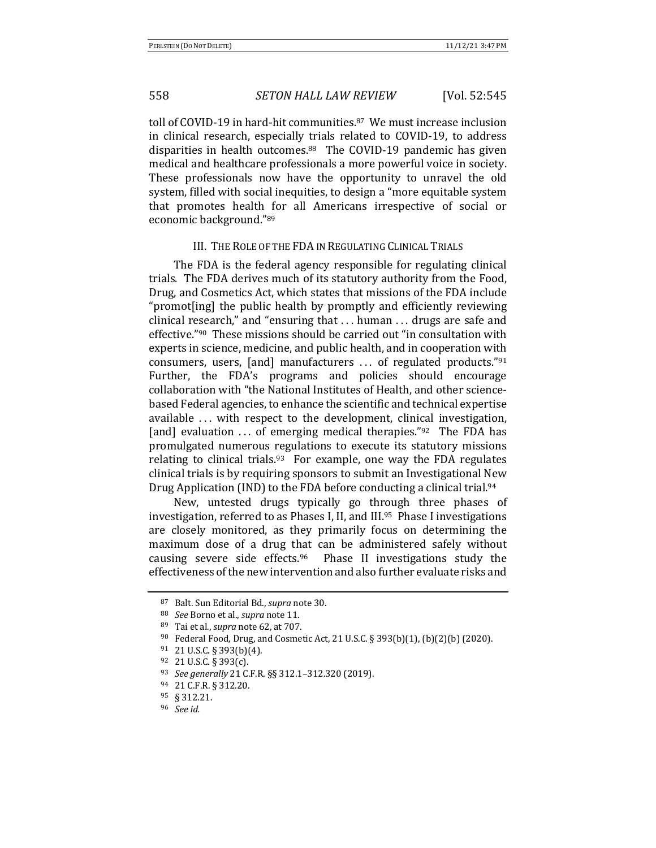toll of COVID-19 in hard-hit communities.<sup>87</sup> We must increase inclusion in clinical research, especially trials related to COVID-19, to address disparities in health outcomes.<sup>88</sup> The COVID-19 pandemic has given medical and healthcare professionals a more powerful voice in society. These professionals now have the opportunity to unravel the old system, filled with social inequities, to design a "more equitable system that promotes health for all Americans irrespective of social or economic background."89

### III. THE ROLE OF THE FDA IN REGULATING CLINICAL TRIALS

The FDA is the federal agency responsible for regulating clinical trials. The FDA derives much of its statutory authority from the Food, Drug, and Cosmetics Act, which states that missions of the FDA include "promot[ing] the public health by promptly and efficiently reviewing clinical research," and "ensuring that  $\dots$  human  $\dots$  drugs are safe and effective."<sup>90</sup> These missions should be carried out "in consultation with experts in science, medicine, and public health, and in cooperation with consumers, users, [and] manufacturers  $\dots$  of regulated products."<sup>91</sup> Further, the FDA's programs and policies should encourage collaboration with "the National Institutes of Health, and other sciencebased Federal agencies, to enhance the scientific and technical expertise available ... with respect to the development, clinical investigation, [and] evaluation  $\ldots$  of emerging medical therapies."<sup>92</sup> The FDA has promulgated numerous regulations to execute its statutory missions relating to clinical trials.<sup>93</sup> For example, one way the FDA regulates clinical trials is by requiring sponsors to submit an Investigational New Drug Application (IND) to the FDA before conducting a clinical trial.<sup>94</sup>

New, untested drugs typically go through three phases of investigation, referred to as Phases I, II, and  $III.^{95}$  Phase I investigations are closely monitored, as they primarily focus on determining the maximum dose of a drug that can be administered safely without causing severe side effects. $96$  Phase II investigations study the effectiveness of the new intervention and also further evaluate risks and

<sup>87</sup> Balt. Sun Editorial Bd., *supra* note 30.

<sup>88</sup> *See* Borno et al., *supra* note 11.

<sup>89</sup> Tai et al., *supra* note 62, at 707.

<sup>90</sup> Federal Food, Drug, and Cosmetic Act, 21 U.S.C. § 393(b)(1), (b)(2)(b) (2020).

 $91$  21 U.S.C. § 393(b)(4).

 $92$  21 U.S.C. § 393(c).

<sup>93</sup> *See generally* 21 C.F.R. §§ 312.1–312.320 (2019). 

<sup>94 21</sup> C.F.R. § 312.20.

<sup>95</sup> § 312.21.

<sup>96</sup> *See id.*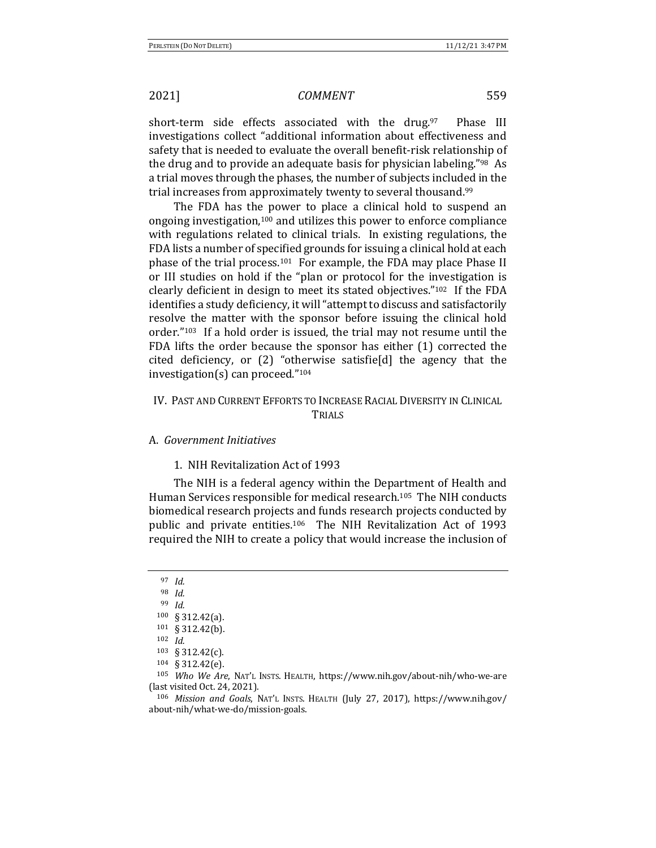short-term side effects associated with the drug.97 Phase III investigations collect "additional information about effectiveness and safety that is needed to evaluate the overall benefit-risk relationship of the drug and to provide an adequate basis for physician labeling."<sup>98</sup> As a trial moves through the phases, the number of subjects included in the trial increases from approximately twenty to several thousand.<sup>99</sup>

The FDA has the power to place a clinical hold to suspend an ongoing investigation,<sup>100</sup> and utilizes this power to enforce compliance with regulations related to clinical trials. In existing regulations, the FDA lists a number of specified grounds for issuing a clinical hold at each phase of the trial process.<sup>101</sup> For example, the FDA may place Phase II or III studies on hold if the "plan or protocol for the investigation is clearly deficient in design to meet its stated objectives." $102$  If the FDA identifies a study deficiency, it will "attempt to discuss and satisfactorily resolve the matter with the sponsor before issuing the clinical hold order." $103$  If a hold order is issued, the trial may not resume until the FDA lifts the order because the sponsor has either  $(1)$  corrected the cited deficiency, or  $(2)$  "otherwise satisfield the agency that the investigation(s) can proceed." $104$ 

## IV. PAST AND CURRENT EFFORTS TO INCREASE RACIAL DIVERSITY IN CLINICAL TRIALS

### A. *Government Initiatives*

## 1. NIH Revitalization Act of 1993

The NIH is a federal agency within the Department of Health and Human Services responsible for medical research.<sup>105</sup> The NIH conducts biomedical research projects and funds research projects conducted by public and private entities.<sup>106</sup> The NIH Revitalization Act of 1993 required the NIH to create a policy that would increase the inclusion of

<sup>97</sup> *Id.*

<sup>98</sup> *Id.*

<sup>99</sup> *Id.*

<sup>100 § 312.42(</sup>a).

<sup>101 § 312.42(</sup>b).

<sup>102</sup> *Id.*

<sup>103 § 312.42(</sup>c).

<sup>104</sup> § 312.42(e).

<sup>105</sup> *Who We Are*, NAT'L INSTS. HEALTH, https://www.nih.gov/about-nih/who-we-are (last visited Oct. 24, 2021).

<sup>106</sup> *Mission and Goals*, NAT'L INSTS. HEALTH (July 27, 2017), https://www.nih.gov/ about-nih/what-we-do/mission-goals.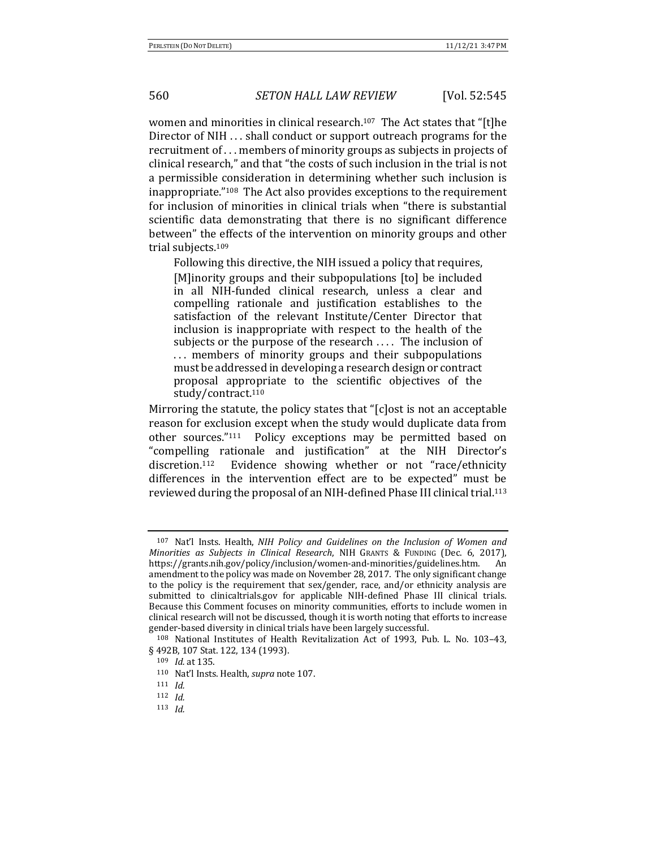women and minorities in clinical research.<sup>107</sup> The Act states that "[t]he Director of NIH ... shall conduct or support outreach programs for the recruitment of  $\dots$  members of minority groups as subjects in projects of clinical research," and that "the costs of such inclusion in the trial is not a permissible consideration in determining whether such inclusion is inappropriate."<sup>108</sup> The Act also provides exceptions to the requirement for inclusion of minorities in clinical trials when "there is substantial scientific data demonstrating that there is no significant difference between" the effects of the intervention on minority groups and other trial subjects.<sup>109</sup>

Following this directive, the NIH issued a policy that requires, [M]inority groups and their subpopulations [to] be included in all NIH-funded clinical research, unless a clear and compelling rationale and justification establishes to the satisfaction of the relevant Institute/Center Director that inclusion is inappropriate with respect to the health of the subjects or the purpose of the research  $\dots$ . The inclusion of ... members of minority groups and their subpopulations must be addressed in developing a research design or contract proposal appropriate to the scientific objectives of the study/contract.<sup>110</sup>

Mirroring the statute, the policy states that "[c]ost is not an acceptable reason for exclusion except when the study would duplicate data from other sources."<sup>111</sup> Policy exceptions may be permitted based on "compelling rationale and justification" at the NIH Director's discretion.<sup>112</sup> Evidence showing whether or not "race/ethnicity differences in the intervention effect are to be expected" must be reviewed during the proposal of an NIH-defined Phase III clinical trial.<sup>113</sup>

<sup>&</sup>lt;sup>107</sup> Nat'l Insts. Health, *NIH Policy and Guidelines on the Inclusion of Women and Minorities as Subjects in Clinical Research*, NIH GRANTS & FUNDING (Dec. 6, 2017), https://grants.nih.gov/policy/inclusion/women-and-minorities/guidelines.htm. An amendment to the policy was made on November 28, 2017. The only significant change to the policy is the requirement that sex/gender, race, and/or ethnicity analysis are submitted to clinicaltrials.gov for applicable NIH-defined Phase III clinical trials. Because this Comment focuses on minority communities, efforts to include women in clinical research will not be discussed, though it is worth noting that efforts to increase gender-based diversity in clinical trials have been largely successful.

 $108$  National Institutes of Health Revitalization Act of 1993, Pub. L. No. 103-43, § 492B, 107 Stat. 122, 134 (1993).

<sup>109</sup> *Id.* at 135.

<sup>110</sup> Nat'l Insts. Health, *supra* note 107.

<sup>111</sup> *Id.*

<sup>112</sup> *Id.*

<sup>113</sup> *Id.*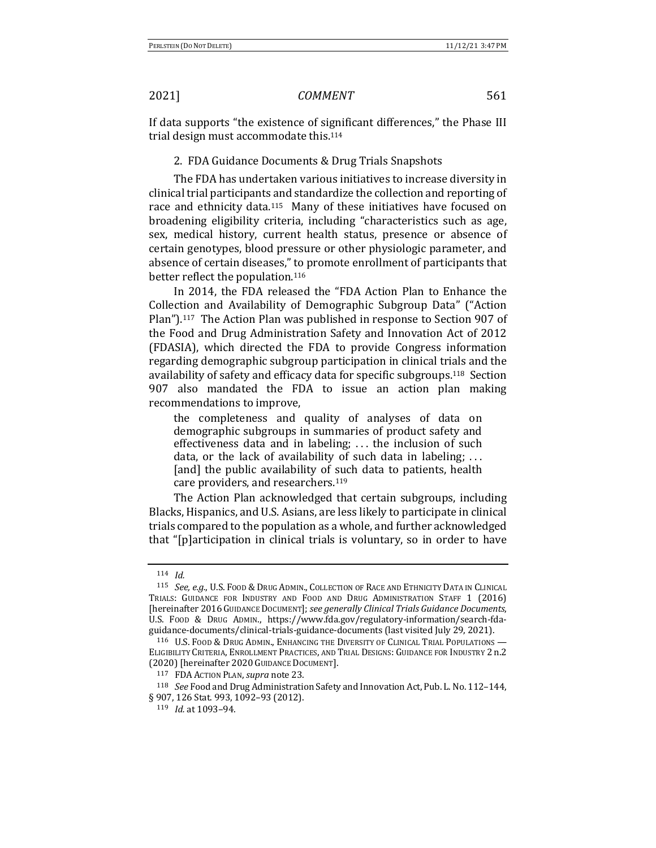If data supports "the existence of significant differences," the Phase III trial design must accommodate this.<sup>114</sup>

### 2. FDA Guidance Documents & Drug Trials Snapshots

The FDA has undertaken various initiatives to increase diversity in clinical trial participants and standardize the collection and reporting of race and ethnicity data.<sup>115</sup> Many of these initiatives have focused on broadening eligibility criteria, including "characteristics such as age, sex, medical history, current health status, presence or absence of certain genotypes, blood pressure or other physiologic parameter, and absence of certain diseases," to promote enrollment of participants that better reflect the population.<sup>116</sup>

In 2014, the FDA released the "FDA Action Plan to Enhance the Collection and Availability of Demographic Subgroup Data" ("Action Plan").<sup>117</sup> The Action Plan was published in response to Section 907 of the Food and Drug Administration Safety and Innovation Act of 2012 (FDASIA), which directed the FDA to provide Congress information regarding demographic subgroup participation in clinical trials and the availability of safety and efficacy data for specific subgroups.<sup>118</sup> Section 907 also mandated the FDA to issue an action plan making recommendations to improve,

the completeness and quality of analyses of data on demographic subgroups in summaries of product safety and effectiveness data and in labeling;  $\ldots$  the inclusion of such data, or the lack of availability of such data in labeling;  $\dots$ [and] the public availability of such data to patients, health care providers, and researchers.<sup>119</sup>

The Action Plan acknowledged that certain subgroups, including Blacks, Hispanics, and U.S. Asians, are less likely to participate in clinical trials compared to the population as a whole, and further acknowledged that "[p]articipation in clinical trials is voluntary, so in order to have

<sup>114</sup> *Id.*

<sup>115</sup> *See, e.g.*, U.S. Food & Drug Admin., Collection of Race and Ethnicity Data in Clinical TRIALS: GUIDANCE FOR INDUSTRY AND FOOD AND DRUG ADMINISTRATION STAFF 1 (2016) [hereinafter 2016GUIDANCE DOCUMENT]; *see generally Clinical Trials Guidance Documents*, U.S. Food & Drug Admin., https://www.fda.gov/regulatory-information/search-fdaguidance-documents/clinical-trials-guidance-documents (last visited July 29, 2021).

<sup>116</sup> U.S. FOOD & DRUG ADMIN., ENHANCING THE DIVERSITY OF CLINICAL TRIAL POPULATIONS — ELIGIBILITY CRITERIA, ENROLLMENT PRACTICES, AND TRIAL DESIGNS: GUIDANCE FOR INDUSTRY 2 n.2 (2020) [hereinafter 2020 GUIDANCE DOCUMENT].

<sup>117</sup> FDA Action PLAN, *supra* note 23.

<sup>&</sup>lt;sup>118</sup> *See* Food and Drug Administration Safety and Innovation Act, Pub. L. No. 112-144, § 907, 126 Stat. 993, 1092-93 (2012).

<sup>119</sup> *Id.* at 1093-94.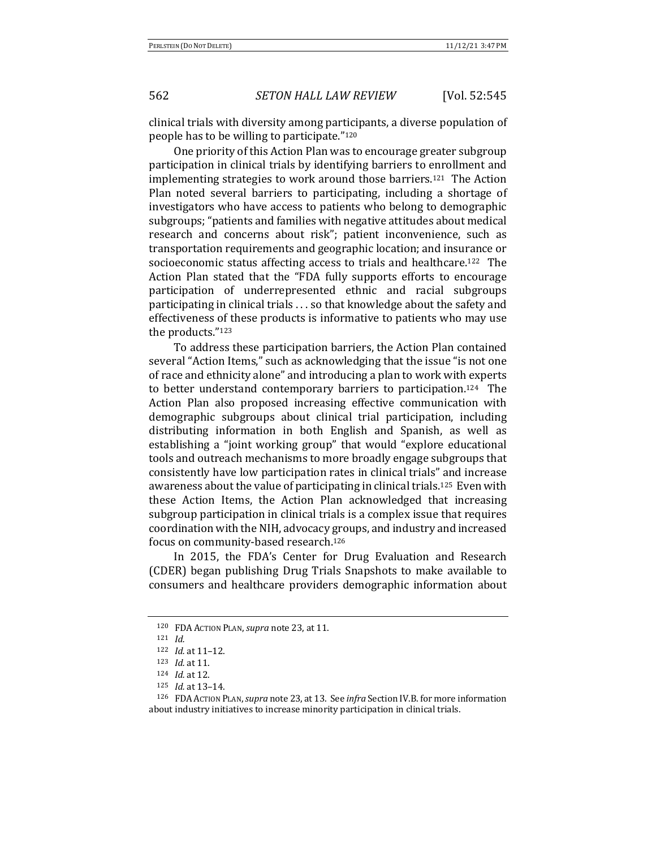clinical trials with diversity among participants, a diverse population of people has to be willing to participate."<sup>120</sup>

One priority of this Action Plan was to encourage greater subgroup participation in clinical trials by identifying barriers to enrollment and implementing strategies to work around those barriers.<sup>121</sup> The Action Plan noted several barriers to participating, including a shortage of investigators who have access to patients who belong to demographic subgroups; "patients and families with negative attitudes about medical research and concerns about risk"; patient inconvenience, such as transportation requirements and geographic location; and insurance or socioeconomic status affecting access to trials and healthcare.<sup>122</sup> The Action Plan stated that the "FDA fully supports efforts to encourage participation of underrepresented ethnic and racial subgroups participating in clinical trials  $\ldots$  so that knowledge about the safety and effectiveness of these products is informative to patients who may use the products."123

To address these participation barriers, the Action Plan contained several "Action Items," such as acknowledging that the issue "is not one of race and ethnicity alone" and introducing a plan to work with experts to better understand contemporary barriers to participation.<sup>124</sup> The Action Plan also proposed increasing effective communication with demographic subgroups about clinical trial participation, including distributing information in both English and Spanish, as well as establishing a "joint working group" that would "explore educational tools and outreach mechanisms to more broadly engage subgroups that consistently have low participation rates in clinical trials" and increase awareness about the value of participating in clinical trials.<sup>125</sup> Even with these Action Items, the Action Plan acknowledged that increasing subgroup participation in clinical trials is a complex issue that requires coordination with the NIH, advocacy groups, and industry and increased focus on community-based research.<sup>126</sup>

In 2015, the FDA's Center for Drug Evaluation and Research (CDER) began publishing Drug Trials Snapshots to make available to consumers and healthcare providers demographic information about

<sup>120</sup> FDA ACTION PLAN, *supra* note 23, at 11.

<sup>121</sup> *Id.*

<sup>122</sup> *Id.* at 11-12.

<sup>123</sup> *Id.* at 11.

<sup>124</sup> *Id.* at 12.

 $125$  *Id.* at 13-14.

<sup>126</sup> FDA Action PLAN, *supra* note 23, at 13. See *infra* Section IV.B. for more information about industry initiatives to increase minority participation in clinical trials.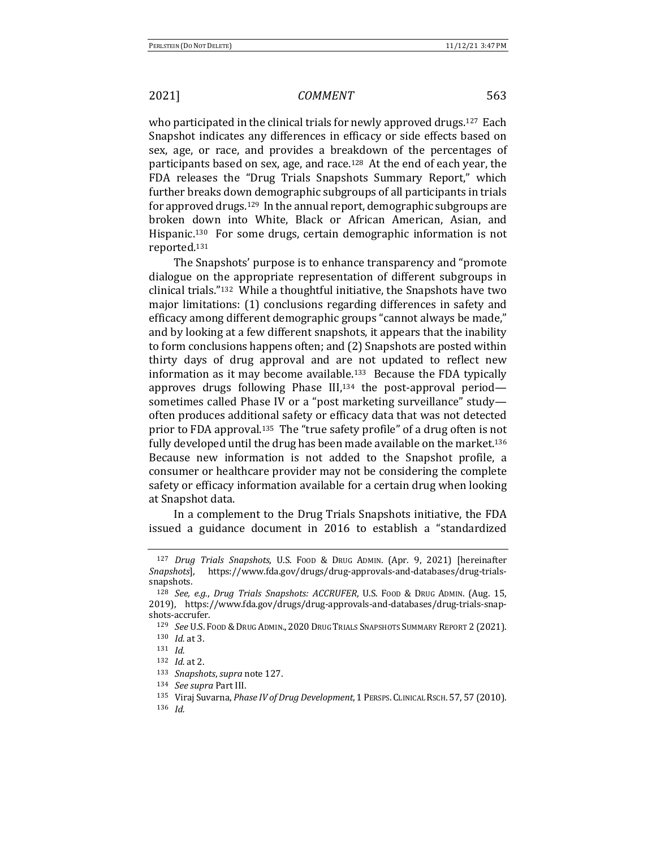who participated in the clinical trials for newly approved drugs.<sup>127</sup> Each Snapshot indicates any differences in efficacy or side effects based on sex, age, or race, and provides a breakdown of the percentages of participants based on sex, age, and race.<sup>128</sup> At the end of each year, the FDA releases the "Drug Trials Snapshots Summary Report," which further breaks down demographic subgroups of all participants in trials for approved drugs.<sup>129</sup> In the annual report, demographic subgroups are broken down into White, Black or African American, Asian, and Hispanic.<sup>130</sup> For some drugs, certain demographic information is not reported.131

The Snapshots' purpose is to enhance transparency and "promote" dialogue on the appropriate representation of different subgroups in clinical trials." $132$  While a thoughtful initiative, the Snapshots have two major limitations: (1) conclusions regarding differences in safety and efficacy among different demographic groups "cannot always be made," and by looking at a few different snapshots, it appears that the inability to form conclusions happens often; and (2) Snapshots are posted within thirty days of drug approval and are not updated to reflect new information as it may become available.<sup>133</sup> Because the FDA typically approves drugs following Phase  $III$ ,<sup>134</sup> the post-approval periodsometimes called Phase IV or a "post marketing surveillance" studyoften produces additional safety or efficacy data that was not detected prior to FDA approval.<sup>135</sup> The "true safety profile" of a drug often is not fully developed until the drug has been made available on the market.<sup>136</sup> Because new information is not added to the Snapshot profile, a consumer or healthcare provider may not be considering the complete safety or efficacy information available for a certain drug when looking at Snapshot data.

In a complement to the Drug Trials Snapshots initiative, the FDA issued a guidance document in 2016 to establish a "standardized 

<sup>&</sup>lt;sup>127</sup> *Drug Trials Snapshots*, U.S. Food & Drug Admin. (Apr. 9, 2021) [hereinafter *Snapshots*], https://www.fda.gov/drugs/drug-approvals-and-databases/drug-trialssnapshots. 

<sup>128</sup> *See, e.g., Drug Trials Snapshots: ACCRUFER*, U.S. Food & DRUG ADMIN. (Aug. 15, 2019), https://www.fda.gov/drugs/drug-approvals-and-databases/drug-trials-snapshots-accrufer. 

<sup>&</sup>lt;sup>129</sup> *See* U.S. Food & Drug Admin., 2020 Drug Trials Snapshots Summary Report 2 (2021). 130 *Id.* at 3.

<sup>131</sup> *Id.*

<sup>132</sup> *Id.* at 2.

<sup>133</sup> *Snapshots, supra* note 127.

<sup>134</sup> *See supra* Part III.

<sup>135</sup> Viraj Suvarna, *Phase IV of Drug Development*, 1 PERSPS. CLINICAL RSCH. 57, 57 (2010).

<sup>136</sup> *Id.*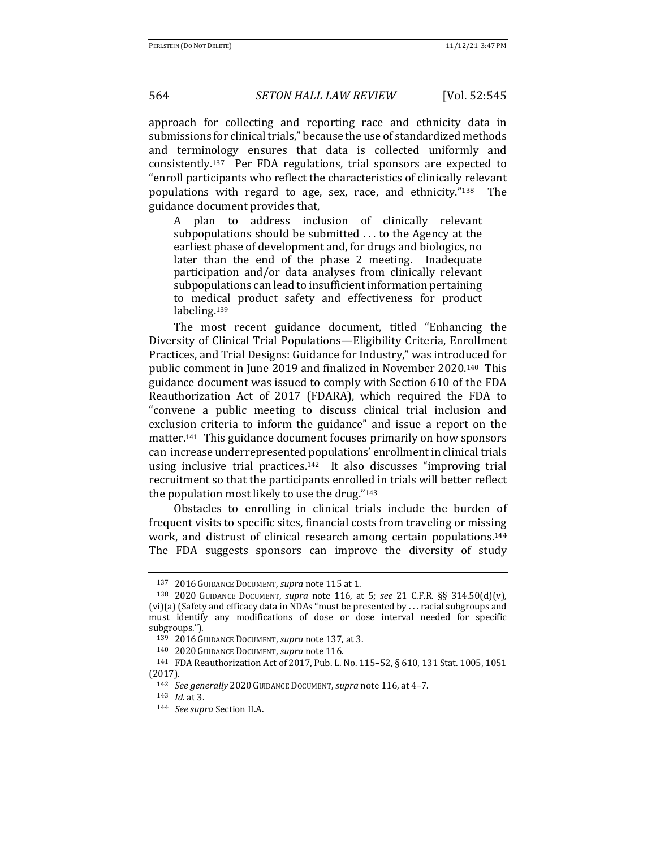approach for collecting and reporting race and ethnicity data in submissions for clinical trials," because the use of standardized methods and terminology ensures that data is collected uniformly and consistently.<sup>137</sup> Per FDA regulations, trial sponsors are expected to "enroll participants who reflect the characteristics of clinically relevant populations with regard to age, sex, race, and ethnicity."<sup>138</sup> The guidance document provides that,

A plan to address inclusion of clinically relevant subpopulations should be submitted  $\ldots$  to the Agency at the earliest phase of development and, for drugs and biologics, no later than the end of the phase 2 meeting. Inadequate participation and/or data analyses from clinically relevant subpopulations can lead to insufficient information pertaining to medical product safety and effectiveness for product labeling.139

The most recent guidance document, titled "Enhancing the Diversity of Clinical Trial Populations—Eligibility Criteria, Enrollment Practices, and Trial Designs: Guidance for Industry," was introduced for public comment in June 2019 and finalized in November 2020.<sup>140</sup> This guidance document was issued to comply with Section 610 of the FDA Reauthorization Act of 2017 (FDARA), which required the FDA to "convene a public meeting to discuss clinical trial inclusion and exclusion criteria to inform the guidance" and issue a report on the matter.<sup>141</sup> This guidance document focuses primarily on how sponsors can increase underrepresented populations' enrollment in clinical trials using inclusive trial practices.<sup>142</sup> It also discusses "improving trial recruitment so that the participants enrolled in trials will better reflect the population most likely to use the drug." $143$ 

Obstacles to enrolling in clinical trials include the burden of frequent visits to specific sites, financial costs from traveling or missing work, and distrust of clinical research among certain populations.<sup>144</sup> The FDA suggests sponsors can improve the diversity of study

<sup>137 2016</sup> GUIDANCE DOCUMENT, *supra* note 115 at 1.

<sup>138 2020</sup> GUIDANCE DOCUMENT, *supra* note 116, at 5; see 21 C.F.R. §§ 314.50(d)(v), (vi)(a) (Safety and efficacy data in NDAs "must be presented by . . . racial subgroups and must identify any modifications of dose or dose interval needed for specific subgroups.").

<sup>139 2016</sup> GUIDANCE DOCUMENT, *supra* note 137, at 3.

<sup>140 2020</sup> GUIDANCE DOCUMENT, *supra* note 116.

<sup>&</sup>lt;sup>141</sup> FDA Reauthorization Act of 2017, Pub. L. No. 115-52, § 610, 131 Stat. 1005, 1051 (2017).

<sup>142</sup> *See generally* 2020 GUIDANCE DOCUMENT, *supra* note 116, at 4-7.

<sup>143</sup> *Id.* at 3.

<sup>144</sup> *See supra* Section II.A.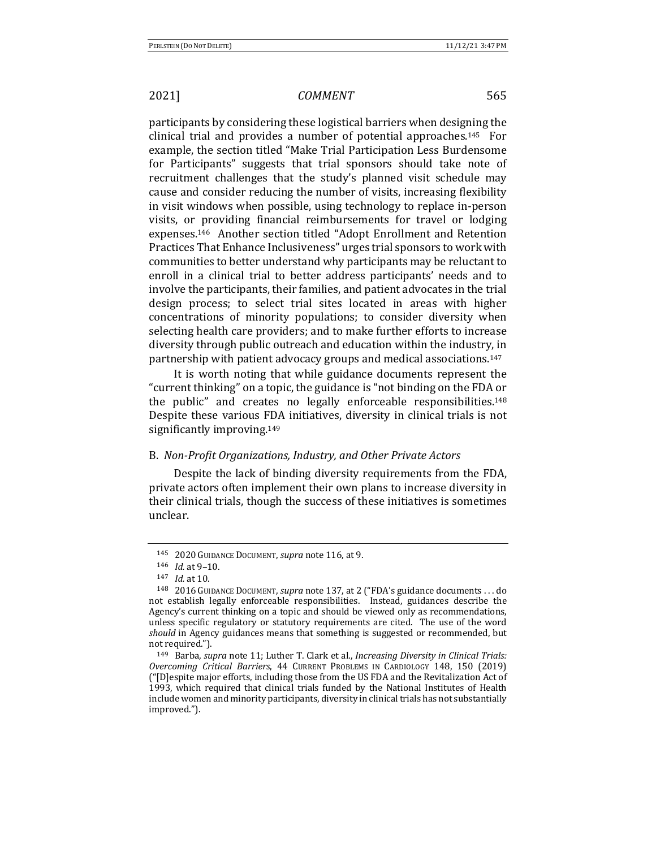participants by considering these logistical barriers when designing the clinical trial and provides a number of potential approaches.<sup>145</sup> For example, the section titled "Make Trial Participation Less Burdensome for Participants" suggests that trial sponsors should take note of recruitment challenges that the study's planned visit schedule may cause and consider reducing the number of visits, increasing flexibility in visit windows when possible, using technology to replace in-person visits, or providing financial reimbursements for travel or lodging expenses.<sup>146</sup> Another section titled "Adopt Enrollment and Retention Practices That Enhance Inclusiveness" urges trial sponsors to work with communities to better understand why participants may be reluctant to enroll in a clinical trial to better address participants' needs and to involve the participants, their families, and patient advocates in the trial design process; to select trial sites located in areas with higher concentrations of minority populations; to consider diversity when selecting health care providers; and to make further efforts to increase diversity through public outreach and education within the industry, in partnership with patient advocacy groups and medical associations.<sup>147</sup>

It is worth noting that while guidance documents represent the "current thinking" on a topic, the guidance is "not binding on the FDA or the public" and creates no legally enforceable responsibilities.<sup>148</sup> Despite these various FDA initiatives, diversity in clinical trials is not significantly improving.<sup>149</sup>

## B. Non-Profit Organizations, Industry, and Other Private Actors

Despite the lack of binding diversity requirements from the FDA, private actors often implement their own plans to increase diversity in their clinical trials, though the success of these initiatives is sometimes unclear. 

<sup>145 2020</sup> GUIDANCE DOCUMENT, *supra* note 116, at 9.

<sup>146</sup> *Id.* at 9-10.

<sup>147</sup> *Id.* at 10.

<sup>&</sup>lt;sup>148</sup> 2016 GUIDANCE DOCUMENT, *supra* note 137, at 2 ("FDA's guidance documents . . . do not establish legally enforceable responsibilities. Instead, guidances describe the Agency's current thinking on a topic and should be viewed only as recommendations, unless specific regulatory or statutory requirements are cited. The use of the word *should* in Agency guidances means that something is suggested or recommended, but not required.").

<sup>149</sup> Barba, *supra* note 11; Luther T. Clark et al., *Increasing Diversity in Clinical Trials: Overcoming Critical Barriers*, 44 CURRENT PROBLEMS IN CARDIOLOGY 148, 150 (2019) ("[D]espite major efforts, including those from the US FDA and the Revitalization Act of 1993, which required that clinical trials funded by the National Institutes of Health include women and minority participants, diversity in clinical trials has not substantially improved.").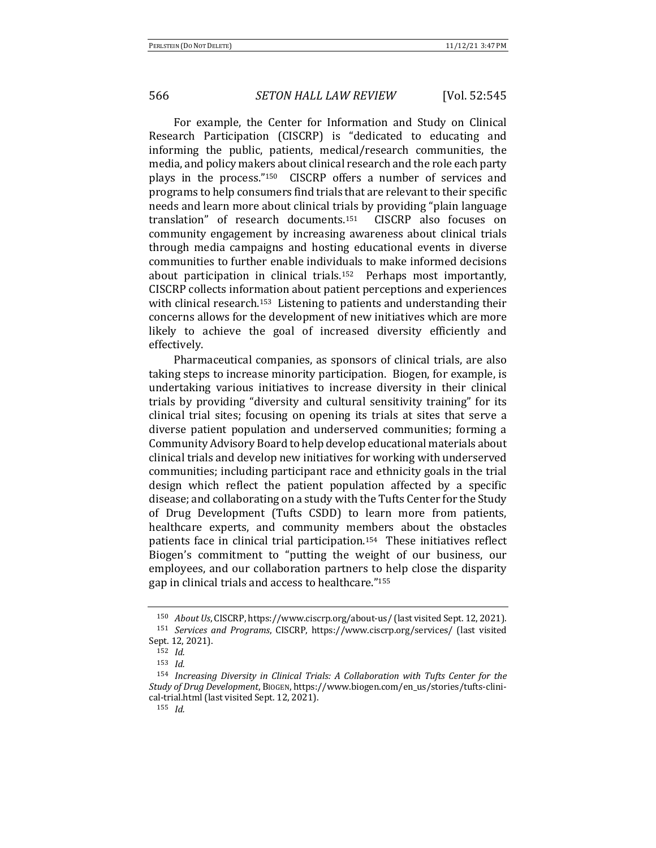For example, the Center for Information and Study on Clinical Research Participation (CISCRP) is "dedicated to educating and informing the public, patients, medical/research communities, the media, and policy makers about clinical research and the role each party plays in the process." $150$  CISCRP offers a number of services and programs to help consumers find trials that are relevant to their specific needs and learn more about clinical trials by providing "plain language translation" of research documents.<sup>151</sup> CISCRP also focuses on community engagement by increasing awareness about clinical trials through media campaigns and hosting educational events in diverse communities to further enable individuals to make informed decisions about participation in clinical trials.<sup>152</sup> Perhaps most importantly, CISCRP collects information about patient perceptions and experiences with clinical research.<sup>153</sup> Listening to patients and understanding their concerns allows for the development of new initiatives which are more likely to achieve the goal of increased diversity efficiently and effectively.

Pharmaceutical companies, as sponsors of clinical trials, are also taking steps to increase minority participation. Biogen, for example, is undertaking various initiatives to increase diversity in their clinical trials by providing "diversity and cultural sensitivity training" for its clinical trial sites; focusing on opening its trials at sites that serve a diverse patient population and underserved communities; forming a Community Advisory Board to help develop educational materials about clinical trials and develop new initiatives for working with underserved communities; including participant race and ethnicity goals in the trial design which reflect the patient population affected by a specific disease; and collaborating on a study with the Tufts Center for the Study of Drug Development (Tufts CSDD) to learn more from patients, healthcare experts, and community members about the obstacles patients face in clinical trial participation.<sup>154</sup> These initiatives reflect Biogen's commitment to "putting the weight of our business, our employees, and our collaboration partners to help close the disparity gap in clinical trials and access to healthcare."<sup>155</sup>

<sup>&</sup>lt;sup>150</sup> *About Us*, CISCRP, https://www.ciscrp.org/about-us/ (last visited Sept. 12, 2021).

<sup>&</sup>lt;sup>151</sup> Services and Programs, CISCRP, https://www.ciscrp.org/services/ (last visited Sept. 12, 2021).

<sup>152</sup> *Id.*

<sup>153</sup> *Id.*

<sup>&</sup>lt;sup>154</sup> Increasing Diversity in Clinical Trials: A Collaboration with Tufts Center for the *Study of Drug Development*, BIOGEN, https://www.biogen.com/en\_us/stories/tufts-clinical-trial.html (last visited Sept. 12, 2021).

<sup>155</sup> *Id.*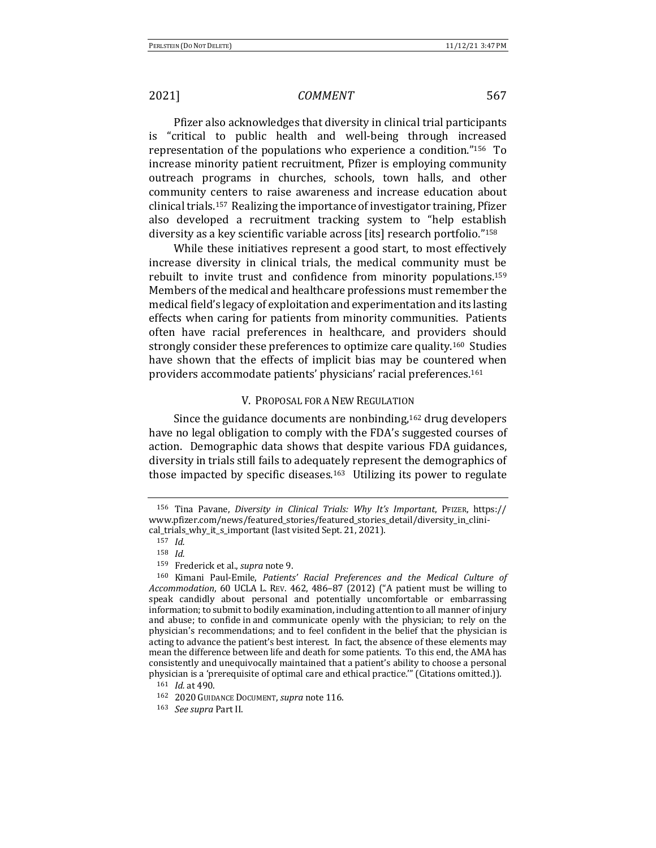Pfizer also acknowledges that diversity in clinical trial participants is "critical to public health and well-being through increased representation of the populations who experience a condition."<sup>156</sup> To increase minority patient recruitment, Pfizer is employing community outreach programs in churches, schools, town halls, and other community centers to raise awareness and increase education about clinical trials.<sup>157</sup> Realizing the importance of investigator training, Pfizer also developed a recruitment tracking system to "help establish diversity as a key scientific variable across [its] research portfolio."<sup>158</sup>

While these initiatives represent a good start, to most effectively increase diversity in clinical trials, the medical community must be rebuilt to invite trust and confidence from minority populations.<sup>159</sup> Members of the medical and healthcare professions must remember the medical field's legacy of exploitation and experimentation and its lasting effects when caring for patients from minority communities. Patients often have racial preferences in healthcare, and providers should strongly consider these preferences to optimize care quality.<sup>160</sup> Studies have shown that the effects of implicit bias may be countered when providers accommodate patients' physicians' racial preferences.<sup>161</sup>

### V. PROPOSAL FOR A NEW REGULATION

Since the guidance documents are nonbinding, $162$  drug developers have no legal obligation to comply with the FDA's suggested courses of action. Demographic data shows that despite various FDA guidances, diversity in trials still fails to adequately represent the demographics of those impacted by specific diseases.<sup>163</sup> Utilizing its power to regulate

<sup>&</sup>lt;sup>156</sup> Tina Pavane, *Diversity in Clinical Trials: Why It's Important*, PFIZER, https:// www.pfizer.com/news/featured\_stories/featured\_stories\_detail/diversity\_in\_clinical\_trials\_why\_it\_s\_important (last visited Sept. 21, 2021).

<sup>157</sup> *Id.*

<sup>158</sup> *Id.*

<sup>159</sup> Frederick et al., *supra* note 9.

<sup>&</sup>lt;sup>160</sup> Kimani Paul-Emile, *Patients' Racial Preferences and the Medical Culture of Accommodation*, 60 UCLA L. REV. 462, 486-87 (2012) ("A patient must be willing to speak candidly about personal and potentially uncomfortable or embarrassing information; to submit to bodily examination, including attention to all manner of injury and abuse; to confide in and communicate openly with the physician; to rely on the physician's recommendations; and to feel confident in the belief that the physician is acting to advance the patient's best interest. In fact, the absence of these elements may mean the difference between life and death for some patients. To this end, the AMA has consistently and unequivocally maintained that a patient's ability to choose a personal physician is a 'prerequisite of optimal care and ethical practice.'" (Citations omitted.)).

 $161$  *Id.* at 490.

<sup>162 2020</sup> GUIDANCE DOCUMENT, *supra* note 116.

<sup>163</sup> *See supra* Part II.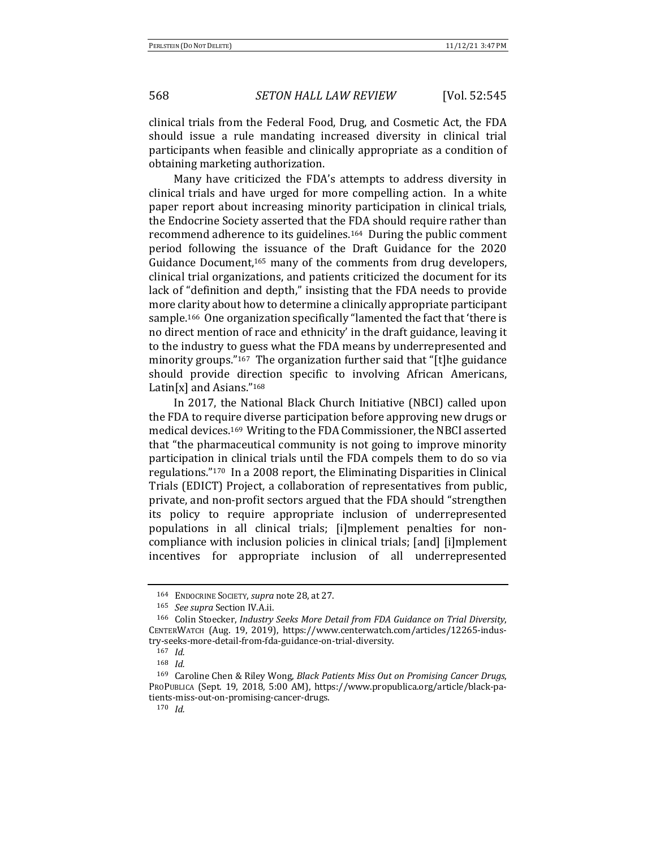clinical trials from the Federal Food, Drug, and Cosmetic Act, the FDA should issue a rule mandating increased diversity in clinical trial participants when feasible and clinically appropriate as a condition of obtaining marketing authorization.

Many have criticized the FDA's attempts to address diversity in clinical trials and have urged for more compelling action. In a white paper report about increasing minority participation in clinical trials, the Endocrine Society asserted that the FDA should require rather than recommend adherence to its guidelines.<sup>164</sup> During the public comment period following the issuance of the Draft Guidance for the 2020 Guidance Document,<sup>165</sup> many of the comments from drug developers, clinical trial organizations, and patients criticized the document for its lack of "definition and depth," insisting that the FDA needs to provide more clarity about how to determine a clinically appropriate participant sample.<sup>166</sup> One organization specifically "lamented the fact that 'there is no direct mention of race and ethnicity' in the draft guidance, leaving it to the industry to guess what the FDA means by underrepresented and minority groups."<sup>167</sup> The organization further said that "[t]he guidance should provide direction specific to involving African Americans, Latin[x] and Asians." $168$ 

In 2017, the National Black Church Initiative (NBCI) called upon the FDA to require diverse participation before approving new drugs or medical devices.<sup>169</sup> Writing to the FDA Commissioner, the NBCI asserted that "the pharmaceutical community is not going to improve minority participation in clinical trials until the FDA compels them to do so via regulations."<sup>170</sup> In a 2008 report, the Eliminating Disparities in Clinical Trials (EDICT) Project, a collaboration of representatives from public, private, and non-profit sectors argued that the FDA should "strengthen its policy to require appropriate inclusion of underrepresented populations in all clinical trials; [i]mplement penalties for noncompliance with inclusion policies in clinical trials; [and] [i]mplement incentives for appropriate inclusion of all underrepresented

<sup>164</sup> ENDOCRINE SOCIETY, *supra* note 28, at 27.

<sup>165</sup> *See supra* Section IV.A.ii.

<sup>166</sup> Colin Stoecker, *Industry Seeks More Detail from FDA Guidance on Trial Diversity*, CENTERWATCH (Aug. 19, 2019), https://www.centerwatch.com/articles/12265-industry-seeks-more-detail-from-fda-guidance-on-trial-diversity.

<sup>167</sup> *Id.*

<sup>168</sup> *Id.*

<sup>&</sup>lt;sup>169</sup> Caroline Chen & Riley Wong, *Black Patients Miss Out on Promising Cancer Drugs*, PROPUBLICA (Sept. 19, 2018, 5:00 AM), https://www.propublica.org/article/black-patients-miss-out-on-promising-cancer-drugs.

<sup>170</sup> *Id.*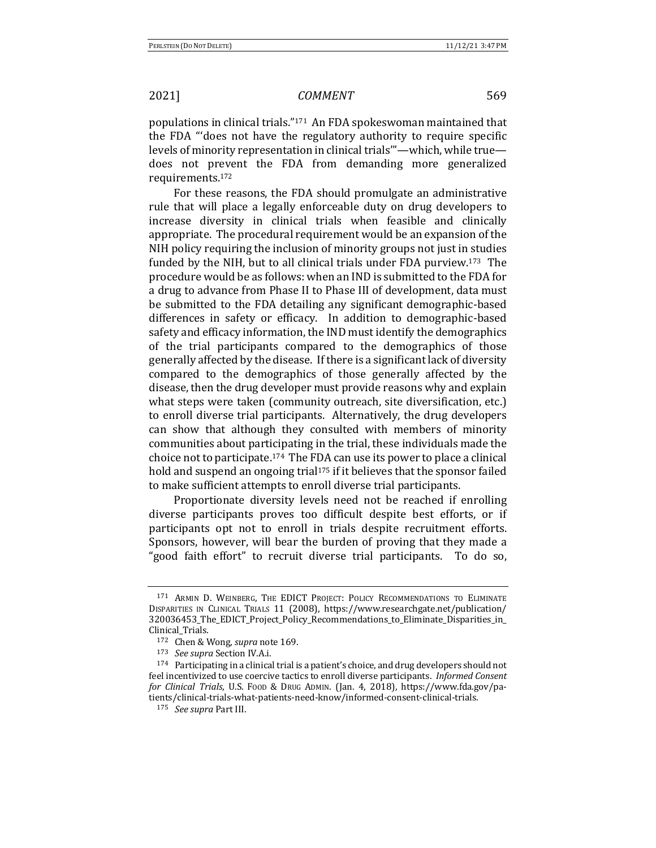populations in clinical trials."<sup>171</sup> An FDA spokeswoman maintained that the FDA "'does not have the regulatory authority to require specific levels of minority representation in clinical trials"—which, while true does not prevent the FDA from demanding more generalized requirements.172 

For these reasons, the FDA should promulgate an administrative rule that will place a legally enforceable duty on drug developers to increase diversity in clinical trials when feasible and clinically appropriate. The procedural requirement would be an expansion of the NIH policy requiring the inclusion of minority groups not just in studies funded by the NIH, but to all clinical trials under FDA purview.<sup>173</sup> The procedure would be as follows: when an IND is submitted to the FDA for a drug to advance from Phase II to Phase III of development, data must be submitted to the FDA detailing any significant demographic-based differences in safety or efficacy. In addition to demographic-based safety and efficacy information, the IND must identify the demographics of the trial participants compared to the demographics of those generally affected by the disease. If there is a significant lack of diversity compared to the demographics of those generally affected by the disease, then the drug developer must provide reasons why and explain what steps were taken (community outreach, site diversification, etc.) to enroll diverse trial participants. Alternatively, the drug developers can show that although they consulted with members of minority communities about participating in the trial, these individuals made the choice not to participate.<sup>174</sup> The FDA can use its power to place a clinical hold and suspend an ongoing trial<sup>175</sup> if it believes that the sponsor failed to make sufficient attempts to enroll diverse trial participants.

Proportionate diversity levels need not be reached if enrolling diverse participants proves too difficult despite best efforts, or if participants opt not to enroll in trials despite recruitment efforts. Sponsors, however, will bear the burden of proving that they made a "good faith effort" to recruit diverse trial participants. To do so,

<sup>171</sup> ARMIN D. WEINBERG, THE EDICT PROJECT: POLICY RECOMMENDATIONS TO ELIMINATE DISPARITIES IN CLINICAL TRIALS 11 (2008), https://www.researchgate.net/publication/ 320036453\_The\_EDICT\_Project\_Policy\_Recommendations\_to\_Eliminate\_Disparities\_in\_ Clinical\_Trials.

<sup>172</sup> Chen & Wong, *supra* note 169.

<sup>173</sup> *See supra* Section IV.A.i.

 $174$  Participating in a clinical trial is a patient's choice, and drug developers should not feel incentivized to use coercive tactics to enroll diverse participants. *Informed Consent for Clinical Trials*, U.S. Food & Drug Admin. (Jan. 4, 2018), https://www.fda.gov/patients/clinical-trials-what-patients-need-know/informed-consent-clinical-trials. 

<sup>175</sup> *See supra* Part III.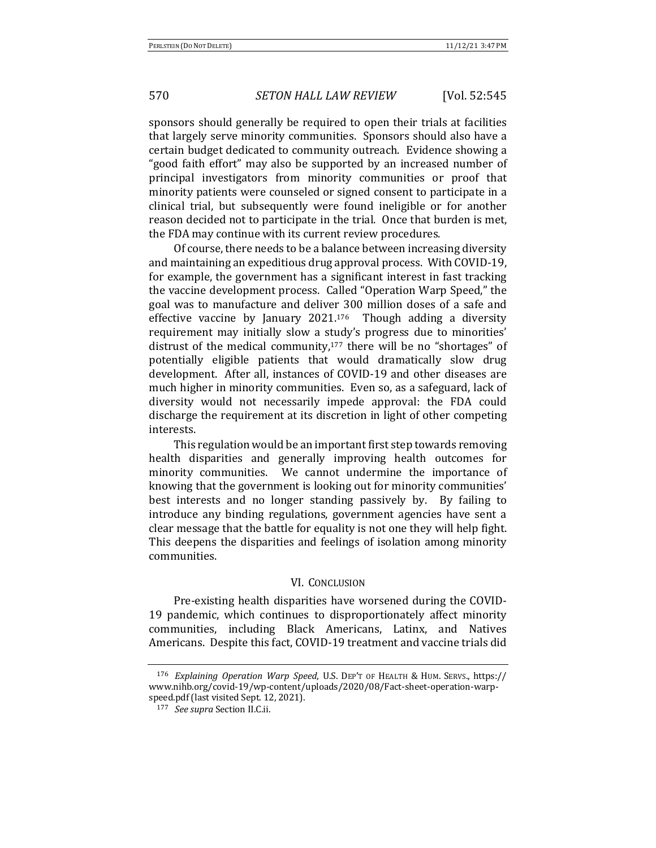sponsors should generally be required to open their trials at facilities that largely serve minority communities. Sponsors should also have a certain budget dedicated to community outreach. Evidence showing a "good faith effort" may also be supported by an increased number of principal investigators from minority communities or proof that minority patients were counseled or signed consent to participate in a clinical trial, but subsequently were found ineligible or for another reason decided not to participate in the trial. Once that burden is met, the FDA may continue with its current review procedures.

Of course, there needs to be a balance between increasing diversity and maintaining an expeditious drug approval process. With COVID-19, for example, the government has a significant interest in fast tracking the vaccine development process. Called "Operation Warp Speed," the goal was to manufacture and deliver 300 million doses of a safe and effective vaccine by January  $2021.176$  Though adding a diversity requirement may initially slow a study's progress due to minorities' distrust of the medical community, $177$  there will be no "shortages" of potentially eligible patients that would dramatically slow drug development. After all, instances of COVID-19 and other diseases are much higher in minority communities. Even so, as a safeguard, lack of diversity would not necessarily impede approval: the FDA could discharge the requirement at its discretion in light of other competing interests. 

This regulation would be an important first step towards removing health disparities and generally improving health outcomes for minority communities. We cannot undermine the importance of knowing that the government is looking out for minority communities' best interests and no longer standing passively by. By failing to introduce any binding regulations, government agencies have sent a clear message that the battle for equality is not one they will help fight. This deepens the disparities and feelings of isolation among minority communities.

### VI. CONCLUSION

Pre-existing health disparities have worsened during the COVID-19 pandemic, which continues to disproportionately affect minority communities, including Black Americans, Latinx, and Natives Americans. Despite this fact, COVID-19 treatment and vaccine trials did

<sup>176</sup> *Explaining Operation Warp Speed*, U.S. DEP'T OF HEALTH & HUM. SERVS., https:// www.nihb.org/covid-19/wp-content/uploads/2020/08/Fact-sheet-operation-warpspeed.pdf (last visited Sept. 12, 2021).

<sup>177</sup> *See supra* Section II.C.ii.